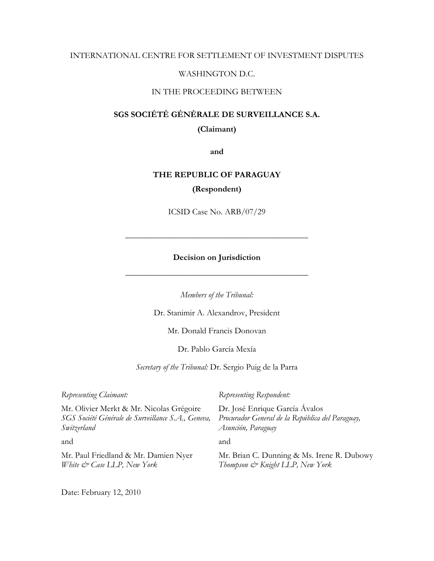# INTERNATIONAL CENTRE FOR SETTLEMENT OF INVESTMENT DISPUTES

# WASHINGTON D.C.

# IN THE PROCEEDING BETWEEN

# **SGS SOCIÉTÉ GÉNÉRALE DE SURVEILLANCE S.A.**

**(Claimant)** 

**and** 

# **THE REPUBLIC OF PARAGUAY (Respondent)**

ICSID Case No. ARB/07/29

\_\_\_\_\_\_\_\_\_\_\_\_\_\_\_\_\_\_\_\_\_\_\_\_\_\_\_\_\_\_\_\_\_\_\_\_\_\_\_\_\_\_\_

# **Decision on Jurisdiction**

\_\_\_\_\_\_\_\_\_\_\_\_\_\_\_\_\_\_\_\_\_\_\_\_\_\_\_\_\_\_\_\_\_\_\_\_\_\_\_\_\_\_\_

*Members of the Tribunal:* 

Dr. Stanimir A. Alexandrov, President

Mr. Donald Francis Donovan

Dr. Pablo García Mexía

*Secretary of the Tribunal:* Dr. Sergio Puig de la Parra

| Representing Claimant:                             | Representing Respondent:                         |
|----------------------------------------------------|--------------------------------------------------|
| Mr. Olivier Merkt & Mr. Nicolas Grégoire           | Dr. José Enrique García Ávalos                   |
| SGS Société Générale de Surveillance S.A., Geneva, | Procurador General de la República del Paraguay, |
| Switzerland                                        | Asunción, Paraguay                               |
| and                                                | and                                              |
| Mr. Paul Friedland & Mr. Damien Nyer               | Mr. Brian C. Dunning & Ms. Irene R. Dubowy       |
| White & Case LLP, New York                         | Thompson & Knight LLP, New York                  |

Date: February 12, 2010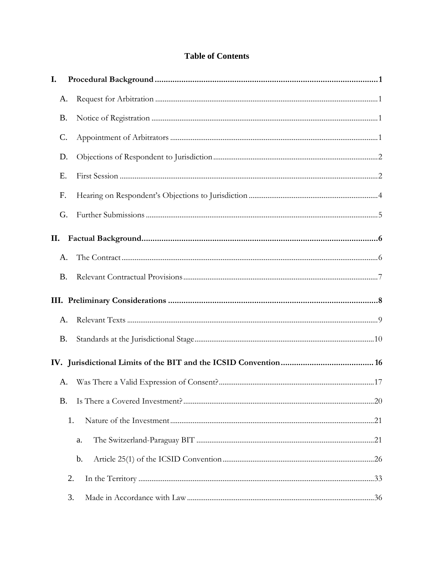# **Table of Contents**

| I.        |           |  |
|-----------|-----------|--|
|           | A.        |  |
| <b>B.</b> |           |  |
| C.        |           |  |
| D.        |           |  |
| Ε.        |           |  |
| F.        |           |  |
|           | G.        |  |
| П.        |           |  |
|           | A.        |  |
|           | <b>B.</b> |  |
|           |           |  |
|           | A.        |  |
|           | <b>B.</b> |  |
|           |           |  |
|           | A.        |  |
| <b>B.</b> |           |  |
|           | 1.        |  |
|           | a.        |  |
|           | b.        |  |
|           | 2.        |  |
|           | 3.        |  |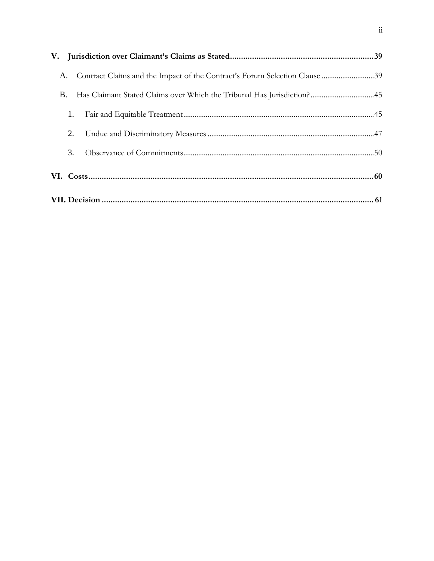|    | A. | Contract Claims and the Impact of the Contract's Forum Selection Clause 39 |  |
|----|----|----------------------------------------------------------------------------|--|
| Β. |    | Has Claimant Stated Claims over Which the Tribunal Has Jurisdiction? 45    |  |
|    | 1. |                                                                            |  |
|    | 2. |                                                                            |  |
|    | 3. |                                                                            |  |
|    |    |                                                                            |  |
|    |    |                                                                            |  |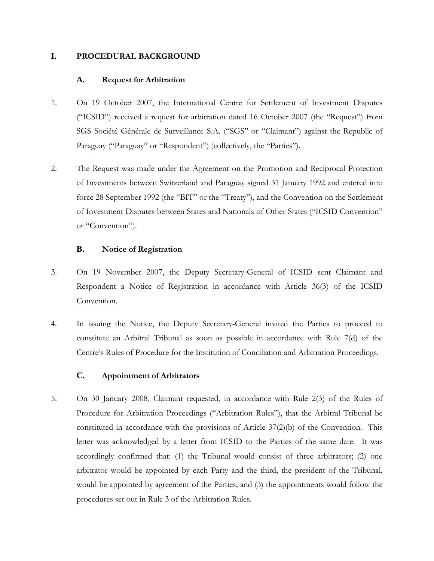# **I. PROCEDURAL BACKGROUND**

# **A. Request for Arbitration**

- 1. On 19 October 2007, the International Centre for Settlement of Investment Disputes ("ICSID") received a request for arbitration dated 16 October 2007 (the "Request") from SGS Société Générale de Surveillance S.A. ("SGS" or "Claimant") against the Republic of Paraguay ("Paraguay" or "Respondent") (collectively, the "Parties").
- 2. The Request was made under the Agreement on the Promotion and Reciprocal Protection of Investments between Switzerland and Paraguay signed 31 January 1992 and entered into force 28 September 1992 (the "BIT" or the "Treaty"), and the Convention on the Settlement of Investment Disputes between States and Nationals of Other States ("ICSID Convention" or "Convention").

# **B. Notice of Registration**

- 3. On 19 November 2007, the Deputy Secretary-General of ICSID sent Claimant and Respondent a Notice of Registration in accordance with Article 36(3) of the ICSID Convention.
- 4. In issuing the Notice, the Deputy Secretary-General invited the Parties to proceed to constitute an Arbitral Tribunal as soon as possible in accordance with Rule 7(d) of the Centre's Rules of Procedure for the Institution of Conciliation and Arbitration Proceedings.

# **C. Appointment of Arbitrators**

5. On 30 January 2008, Claimant requested, in accordance with Rule 2(3) of the Rules of Procedure for Arbitration Proceedings ("Arbitration Rules"), that the Arbitral Tribunal be constituted in accordance with the provisions of Article  $37(2)(b)$  of the Convention. This letter was acknowledged by a letter from ICSID to the Parties of the same date. It was accordingly confirmed that: (1) the Tribunal would consist of three arbitrators; (2) one arbitrator would be appointed by each Party and the third, the president of the Tribunal, would be appointed by agreement of the Parties; and (3) the appointments would follow the procedures set out in Rule 3 of the Arbitration Rules.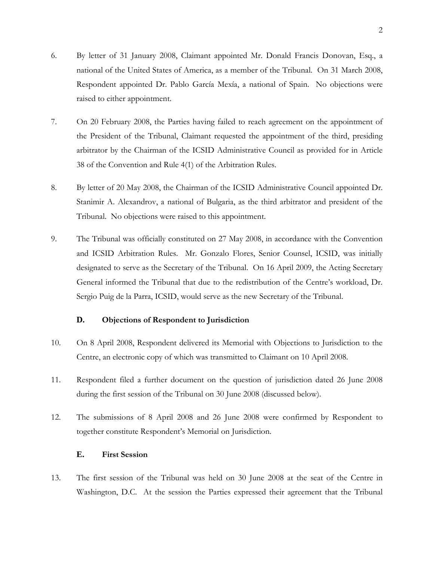- 6. By letter of 31 January 2008, Claimant appointed Mr. Donald Francis Donovan, Esq., a national of the United States of America, as a member of the Tribunal. On 31 March 2008, Respondent appointed Dr. Pablo García Mexía, a national of Spain. No objections were raised to either appointment.
- 7. On 20 February 2008, the Parties having failed to reach agreement on the appointment of the President of the Tribunal, Claimant requested the appointment of the third, presiding arbitrator by the Chairman of the ICSID Administrative Council as provided for in Article 38 of the Convention and Rule 4(1) of the Arbitration Rules.
- 8. By letter of 20 May 2008, the Chairman of the ICSID Administrative Council appointed Dr. Stanimir A. Alexandrov, a national of Bulgaria, as the third arbitrator and president of the Tribunal. No objections were raised to this appointment.
- 9. The Tribunal was officially constituted on 27 May 2008, in accordance with the Convention and ICSID Arbitration Rules. Mr. Gonzalo Flores, Senior Counsel, ICSID, was initially designated to serve as the Secretary of the Tribunal. On 16 April 2009, the Acting Secretary General informed the Tribunal that due to the redistribution of the Centre's workload, Dr. Sergio Puig de la Parra, ICSID, would serve as the new Secretary of the Tribunal.

# **D. Objections of Respondent to Jurisdiction**

- 10. On 8 April 2008, Respondent delivered its Memorial with Objections to Jurisdiction to the Centre, an electronic copy of which was transmitted to Claimant on 10 April 2008.
- 11. Respondent filed a further document on the question of jurisdiction dated 26 June 2008 during the first session of the Tribunal on 30 June 2008 (discussed below).
- 12. The submissions of 8 April 2008 and 26 June 2008 were confirmed by Respondent to together constitute Respondent's Memorial on Jurisdiction.

# **E. First Session**

13. The first session of the Tribunal was held on 30 June 2008 at the seat of the Centre in Washington, D.C. At the session the Parties expressed their agreement that the Tribunal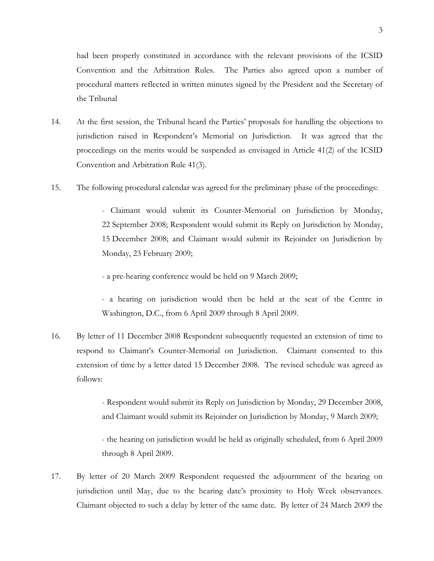had been properly constituted in accordance with the relevant provisions of the ICSID Convention and the Arbitration Rules. The Parties also agreed upon a number of procedural matters reflected in written minutes signed by the President and the Secretary of the Tribunal

- 14. At the first session, the Tribunal heard the Parties' proposals for handling the objections to jurisdiction raised in Respondent's Memorial on Jurisdiction. It was agreed that the proceedings on the merits would be suspended as envisaged in Article 41(2) of the ICSID Convention and Arbitration Rule 41(3).
- 15. The following procedural calendar was agreed for the preliminary phase of the proceedings:

- Claimant would submit its Counter-Memorial on Jurisdiction by Monday, 22 September 2008; Respondent would submit its Reply on Jurisdiction by Monday, 15 December 2008; and Claimant would submit its Rejoinder on Jurisdiction by Monday, 23 February 2009;

- a pre-hearing conference would be held on 9 March 2009;

- a hearing on jurisdiction would then be held at the seat of the Centre in Washington, D.C., from 6 April 2009 through 8 April 2009.

16. By letter of 11 December 2008 Respondent subsequently requested an extension of time to respond to Claimant's Counter-Memorial on Jurisdiction. Claimant consented to this extension of time by a letter dated 15 December 2008. The revised schedule was agreed as follows:

> - Respondent would submit its Reply on Jurisdiction by Monday, 29 December 2008, and Claimant would submit its Rejoinder on Jurisdiction by Monday, 9 March 2009;

> - the hearing on jurisdiction would be held as originally scheduled, from 6 April 2009 through 8 April 2009.

17. By letter of 20 March 2009 Respondent requested the adjournment of the hearing on jurisdiction until May, due to the hearing date's proximity to Holy Week observances. Claimant objected to such a delay by letter of the same date. By letter of 24 March 2009 the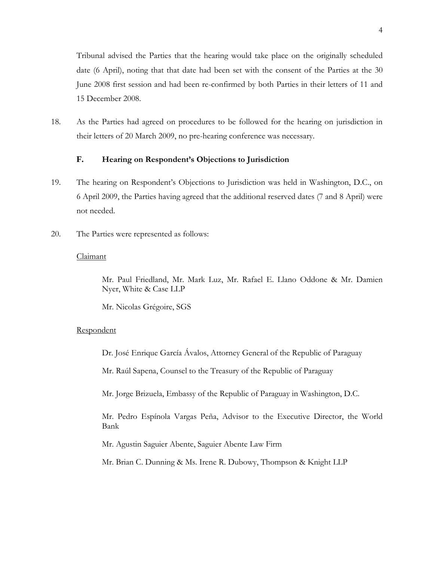Tribunal advised the Parties that the hearing would take place on the originally scheduled date (6 April), noting that that date had been set with the consent of the Parties at the 30 June 2008 first session and had been re-confirmed by both Parties in their letters of 11 and 15 December 2008.

18. As the Parties had agreed on procedures to be followed for the hearing on jurisdiction in their letters of 20 March 2009, no pre-hearing conference was necessary.

# **F. Hearing on Respondent's Objections to Jurisdiction**

- 19. The hearing on Respondent's Objections to Jurisdiction was held in Washington, D.C., on 6 April 2009, the Parties having agreed that the additional reserved dates (7 and 8 April) were not needed.
- 20. The Parties were represented as follows:

# Claimant

Mr. Paul Friedland, Mr. Mark Luz, Mr. Rafael E. Llano Oddone & Mr. Damien Nyer, White & Case LLP

Mr. Nicolas Grégoire, SGS

# **Respondent**

Dr. José Enrique García Ávalos, Attorney General of the Republic of Paraguay

Mr. Raúl Sapena, Counsel to the Treasury of the Republic of Paraguay

Mr. Jorge Brizuela, Embassy of the Republic of Paraguay in Washington, D.C.

Mr. Pedro Espínola Vargas Peña, Advisor to the Executive Director, the World Bank

Mr. Agustin Saguier Abente, Saguier Abente Law Firm

Mr. Brian C. Dunning & Ms. Irene R. Dubowy, Thompson & Knight LLP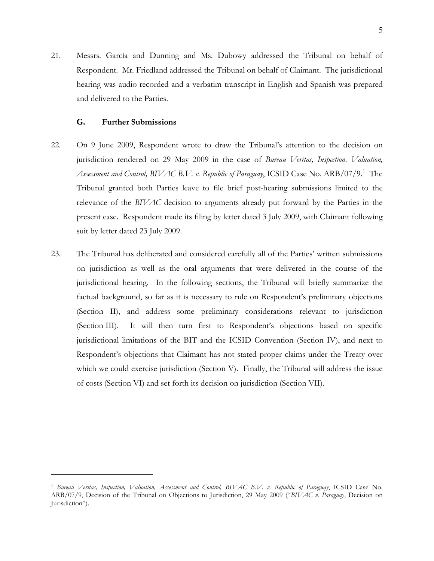21. Messrs. García and Dunning and Ms. Dubowy addressed the Tribunal on behalf of Respondent. Mr. Friedland addressed the Tribunal on behalf of Claimant. The jurisdictional hearing was audio recorded and a verbatim transcript in English and Spanish was prepared and delivered to the Parties.

## **G. Further Submissions**

- 22. On 9 June 2009, Respondent wrote to draw the Tribunal's attention to the decision on jurisdiction rendered on 29 May 2009 in the case of *Bureau Veritas, Inspection, Valuation,*  Assessment and Control, BIVAC B.V. v. Republic of Paraguay, ICSID Case No. ARB/07/9.<sup>[1](#page-7-0)</sup> The Tribunal granted both Parties leave to file brief post-hearing submissions limited to the relevance of the *BIVAC* decision to arguments already put forward by the Parties in the present case. Respondent made its filing by letter dated 3 July 2009, with Claimant following suit by letter dated 23 July 2009.
- 23. The Tribunal has deliberated and considered carefully all of the Parties' written submissions on jurisdiction as well as the oral arguments that were delivered in the course of the jurisdictional hearing. In the following sections, the Tribunal will briefly summarize the factual background, so far as it is necessary to rule on Respondent's preliminary objections (Section [II\)](#page-8-0), and address some preliminary considerations relevant to jurisdiction (Section [III\)](#page-10-0). It will then turn first to Respondent's objections based on specific jurisdictional limitations of the BIT and the ICSID Convention (Section [IV\)](#page-18-0), and next to Respondent's objections that Claimant has not stated proper claims under the Treaty over which we could exercise jurisdiction (Section [V\)](#page-41-0). Finally, the Tribunal will address the issue of costs (Section [VI\)](#page-62-0) and set forth its decision on jurisdiction (Section [VII\)](#page-63-0).

<span id="page-7-0"></span><sup>1</sup> *Bureau Veritas, Inspection, Valuation, Assessment and Control, BIVAC B.V. v. Republic of Paraguay*, ICSID Case No. ARB/07/9, Decision of the Tribunal on Objections to Jurisdiction, 29 May 2009 ("*BIVAC v. Paraguay*, Decision on Jurisdiction").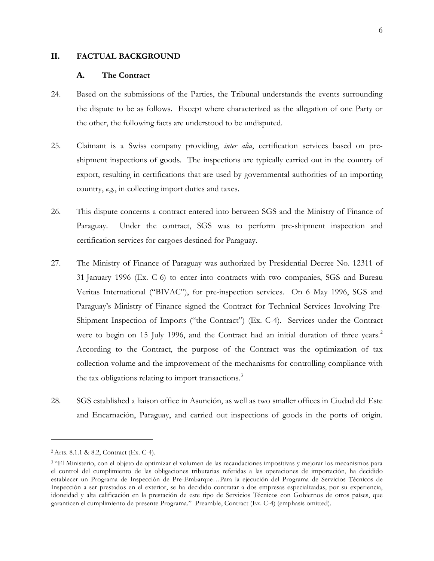### <span id="page-8-0"></span>**II. FACTUAL BACKGROUND**

#### **A. The Contract**

- 24. Based on the submissions of the Parties, the Tribunal understands the events surrounding the dispute to be as follows. Except where characterized as the allegation of one Party or the other, the following facts are understood to be undisputed.
- 25. Claimant is a Swiss company providing, *inter alia*, certification services based on preshipment inspections of goods. The inspections are typically carried out in the country of export, resulting in certifications that are used by governmental authorities of an importing country, *e.g.*, in collecting import duties and taxes.
- 26. This dispute concerns a contract entered into between SGS and the Ministry of Finance of Paraguay. Under the contract, SGS was to perform pre-shipment inspection and certification services for cargoes destined for Paraguay.
- 27. The Ministry of Finance of Paraguay was authorized by Presidential Decree No. 12311 of 31 January 1996 (Ex. C-6) to enter into contracts with two companies, SGS and Bureau Veritas International ("BIVAC"), for pre-inspection services. On 6 May 1996, SGS and Paraguay's Ministry of Finance signed the Contract for Technical Services Involving Pre-Shipment Inspection of Imports ("the Contract") (Ex. C-4). Services under the Contract were to begin on 15 July 1996, and the Contract had an initial duration of three years.<sup>[2](#page-8-1)</sup> According to the Contract, the purpose of the Contract was the optimization of tax collection volume and the improvement of the mechanisms for controlling compliance with the tax obligations relating to import transactions.<sup>[3](#page-8-2)</sup>
- 28. SGS established a liaison office in Asunción, as well as two smaller offices in Ciudad del Este and Encarnación, Paraguay, and carried out inspections of goods in the ports of origin.

<span id="page-8-1"></span><sup>2</sup>Arts. 8.1.1 & 8.2, Contract (Ex. C-4).

<span id="page-8-2"></span><sup>3</sup> "El Ministerio, con el objeto de optimizar el volumen de las recaudaciones impositivas y mejorar los mecanismos para el control del cumplimiento de las obligaciones tributarias referidas a las operaciones de importación, ha decidido establecer un Programa de Inspección de Pre-Embarque…Para la ejecución del Programa de Servicios Técnicos de Inspección a ser prestados en el exterior, se ha decidido contratar a dos empresas especializadas, por su experiencia, idoneidad y alta calificación en la prestación de este tipo de Servicios Técnicos con Gobiernos de otros países, que garanticen el cumplimiento de presente Programa." Preamble, Contract (Ex. C-4) (emphasis omitted).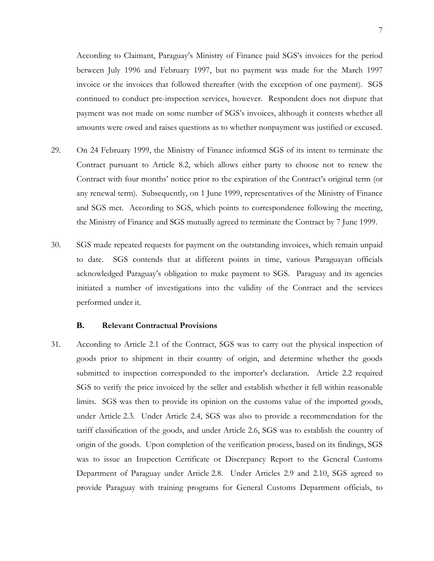According to Claimant, Paraguay's Ministry of Finance paid SGS's invoices for the period between July 1996 and February 1997, but no payment was made for the March 1997 invoice or the invoices that followed thereafter (with the exception of one payment). SGS continued to conduct pre-inspection services, however. Respondent does not dispute that payment was not made on some number of SGS's invoices, although it contests whether all amounts were owed and raises questions as to whether nonpayment was justified or excused.

- 29. On 24 February 1999, the Ministry of Finance informed SGS of its intent to terminate the Contract pursuant to Article 8.2, which allows either party to choose not to renew the Contract with four months' notice prior to the expiration of the Contract's original term (or any renewal term). Subsequently, on 1 June 1999, representatives of the Ministry of Finance and SGS met. According to SGS, which points to correspondence following the meeting, the Ministry of Finance and SGS mutually agreed to terminate the Contract by 7 June 1999.
- 30. SGS made repeated requests for payment on the outstanding invoices, which remain unpaid to date. SGS contends that at different points in time, various Paraguayan officials acknowledged Paraguay's obligation to make payment to SGS. Paraguay and its agencies initiated a number of investigations into the validity of the Contract and the services performed under it.

#### **B. Relevant Contractual Provisions**

31. According to Article 2.1 of the Contract, SGS was to carry out the physical inspection of goods prior to shipment in their country of origin, and determine whether the goods submitted to inspection corresponded to the importer's declaration. Article 2.2 required SGS to verify the price invoiced by the seller and establish whether it fell within reasonable limits. SGS was then to provide its opinion on the customs value of the imported goods, under Article 2.3. Under Article 2.4, SGS was also to provide a recommendation for the tariff classification of the goods, and under Article 2.6, SGS was to establish the country of origin of the goods. Upon completion of the verification process, based on its findings, SGS was to issue an Inspection Certificate or Discrepancy Report to the General Customs Department of Paraguay under Article 2.8. Under Articles 2.9 and 2.10, SGS agreed to provide Paraguay with training programs for General Customs Department officials, to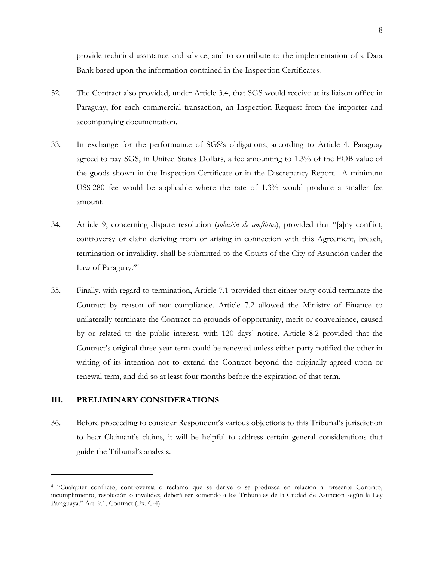provide technical assistance and advice, and to contribute to the implementation of a Data Bank based upon the information contained in the Inspection Certificates.

- 32. The Contract also provided, under Article 3.4, that SGS would receive at its liaison office in Paraguay, for each commercial transaction, an Inspection Request from the importer and accompanying documentation.
- 33. In exchange for the performance of SGS's obligations, according to Article 4, Paraguay agreed to pay SGS, in United States Dollars, a fee amounting to 1.3% of the FOB value of the goods shown in the Inspection Certificate or in the Discrepancy Report. A minimum US\$ 280 fee would be applicable where the rate of 1.3% would produce a smaller fee amount.
- 34. Article 9, concerning dispute resolution (*solución de conflictos*), provided that "[a]ny conflict, controversy or claim deriving from or arising in connection with this Agreement, breach, termination or invalidity, shall be submitted to the Courts of the City of Asunción under the Law of Paraguay."<sup>[4](#page-10-1)</sup>
- 35. Finally, with regard to termination, Article 7.1 provided that either party could terminate the Contract by reason of non-compliance. Article 7.2 allowed the Ministry of Finance to unilaterally terminate the Contract on grounds of opportunity, merit or convenience, caused by or related to the public interest, with 120 days' notice. Article 8.2 provided that the Contract's original three-year term could be renewed unless either party notified the other in writing of its intention not to extend the Contract beyond the originally agreed upon or renewal term, and did so at least four months before the expiration of that term.

### <span id="page-10-0"></span>**III. PRELIMINARY CONSIDERATIONS**

 $\overline{a}$ 

36. Before proceeding to consider Respondent's various objections to this Tribunal's jurisdiction to hear Claimant's claims, it will be helpful to address certain general considerations that guide the Tribunal's analysis.

<span id="page-10-1"></span><sup>4</sup> "Cualquier conflicto, controversia o reclamo que se derive o se produzca en relación al presente Contrato, incumplimiento, resolución o invalidez, deberá ser sometido a los Tribunales de la Ciudad de Asunción según la Ley Paraguaya." Art. 9.1, Contract (Ex. C-4).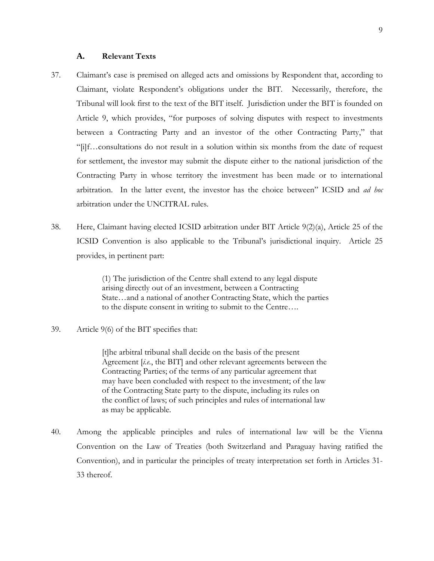#### **A. Relevant Texts**

- 37. Claimant's case is premised on alleged acts and omissions by Respondent that, according to Claimant, violate Respondent's obligations under the BIT. Necessarily, therefore, the Tribunal will look first to the text of the BIT itself. Jurisdiction under the BIT is founded on Article 9, which provides, "for purposes of solving disputes with respect to investments between a Contracting Party and an investor of the other Contracting Party," that "[i]f…consultations do not result in a solution within six months from the date of request for settlement, the investor may submit the dispute either to the national jurisdiction of the Contracting Party in whose territory the investment has been made or to international arbitration. In the latter event, the investor has the choice between" ICSID and *ad hoc* arbitration under the UNCITRAL rules.
- 38. Here, Claimant having elected ICSID arbitration under BIT Article 9(2)(a), Article 25 of the ICSID Convention is also applicable to the Tribunal's jurisdictional inquiry. Article 25 provides, in pertinent part:

(1) The jurisdiction of the Centre shall extend to any legal dispute arising directly out of an investment, between a Contracting State…and a national of another Contracting State, which the parties to the dispute consent in writing to submit to the Centre….

39. Article 9(6) of the BIT specifies that:

[t]he arbitral tribunal shall decide on the basis of the present Agreement [*i.e.*, the BIT] and other relevant agreements between the Contracting Parties; of the terms of any particular agreement that may have been concluded with respect to the investment; of the law of the Contracting State party to the dispute, including its rules on the conflict of laws; of such principles and rules of international law as may be applicable.

40. Among the applicable principles and rules of international law will be the Vienna Convention on the Law of Treaties (both Switzerland and Paraguay having ratified the Convention), and in particular the principles of treaty interpretation set forth in Articles 31- 33 thereof.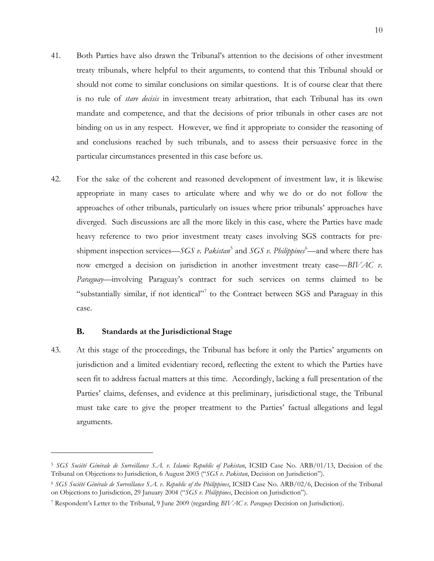- 41. Both Parties have also drawn the Tribunal's attention to the decisions of other investment treaty tribunals, where helpful to their arguments, to contend that this Tribunal should or should not come to similar conclusions on similar questions. It is of course clear that there is no rule of *stare decisis* in investment treaty arbitration, that each Tribunal has its own mandate and competence, and that the decisions of prior tribunals in other cases are not binding on us in any respect. However, we find it appropriate to consider the reasoning of and conclusions reached by such tribunals, and to assess their persuasive force in the particular circumstances presented in this case before us.
- 42. For the sake of the coherent and reasoned development of investment law, it is likewise appropriate in many cases to articulate where and why we do or do not follow the approaches of other tribunals, particularly on issues where prior tribunals' approaches have diverged. Such discussions are all the more likely in this case, where the Parties have made heavy reference to two prior investment treaty cases involving SGS contracts for preshipment inspection services—*SGS v. Pakistan*<sup>[5](#page-12-0)</sup> and *SGS v. Philippines*<sup>[6](#page-12-1)</sup>—and where there has now emerged a decision on jurisdiction in another investment treaty case—*BIVAC v. Paraguay*—involving Paraguay's contract for such services on terms claimed to be "substantially similar, if not identical"<sup>[7](#page-12-2)</sup> to the Contract between SGS and Paraguay in this case.

# **B. Standards at the Jurisdictional Stage**

 $\overline{a}$ 

<span id="page-12-3"></span>43. At this stage of the proceedings, the Tribunal has before it only the Parties' arguments on jurisdiction and a limited evidentiary record, reflecting the extent to which the Parties have seen fit to address factual matters at this time. Accordingly, lacking a full presentation of the Parties' claims, defenses, and evidence at this preliminary, jurisdictional stage, the Tribunal must take care to give the proper treatment to the Parties' factual allegations and legal arguments.

<span id="page-12-0"></span><sup>5</sup> *SGS Société Générale de Surveillance S.A. v. Islamic Republic of Pakistan*, ICSID Case No. ARB/01/13, Decision of the Tribunal on Objections to Jurisdiction, 6 August 2003 ("*SGS v. Pakistan*, Decision on Jurisdiction").

<span id="page-12-1"></span><sup>6</sup> *SGS Société Générale de Surveillance S.A. v. Republic of the Philippines*, ICSID Case No. ARB/02/6, Decision of the Tribunal on Objections to Jurisdiction, 29 January 2004 ("*SGS v. Philippines*, Decision on Jurisdiction").

<span id="page-12-2"></span><sup>7</sup> Respondent's Letter to the Tribunal, 9 June 2009 (regarding *BIVAC v. Paraguay* Decision on Jurisdiction).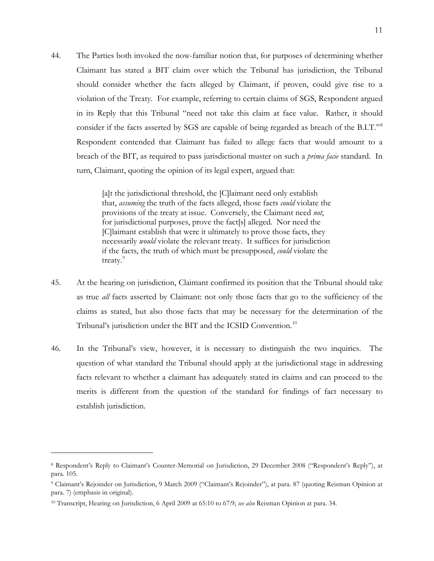44. The Parties both invoked the now-familiar notion that, for purposes of determining whether Claimant has stated a BIT claim over which the Tribunal has jurisdiction, the Tribunal should consider whether the facts alleged by Claimant, if proven, could give rise to a violation of the Treaty. For example, referring to certain claims of SGS, Respondent argued in its Reply that this Tribunal "need not take this claim at face value. Rather, it should consider if the facts asserted by SGS are capable of being regarded as breach of the B.I.T."<sup>[8](#page-13-0)</sup> Respondent contended that Claimant has failed to allege facts that would amount to a breach of the BIT, as required to pass jurisdictional muster on such a *prima facie* standard. In turn, Claimant, quoting the opinion of its legal expert, argued that:

> [a]t the jurisdictional threshold, the [C]laimant need only establish that, *assuming* the truth of the facts alleged, those facts *could* violate the provisions of the treaty at issue. Conversely, the Claimant need *not*, for jurisdictional purposes, prove the fact[s] alleged. Nor need the [C]laimant establish that were it ultimately to prove those facts, they necessarily *would* violate the relevant treaty. It suffices for jurisdiction if the facts, the truth of which must be presupposed, *could* violate the treaty.<sup>[9](#page-13-1)</sup>

- 45. At the hearing on jurisdiction, Claimant confirmed its position that the Tribunal should take as true *all* facts asserted by Claimant: not only those facts that go to the sufficiency of the claims as stated, but also those facts that may be necessary for the determination of the Tribunal's jurisdiction under the BIT and the ICSID Convention.<sup>[10](#page-13-2)</sup>
- 46. In the Tribunal's view, however, it is necessary to distinguish the two inquiries. The question of what standard the Tribunal should apply at the jurisdictional stage in addressing facts relevant to whether a claimant has adequately stated its claims and can proceed to the merits is different from the question of the standard for findings of fact necessary to establish jurisdiction.

<span id="page-13-0"></span><sup>8</sup> Respondent's Reply to Claimant's Counter-Memorial on Jurisdiction, 29 December 2008 ("Respondent's Reply"), at para. 105.

<span id="page-13-1"></span><sup>9</sup> Claimant's Rejoinder on Jurisdiction, 9 March 2009 ("Claimant's Rejoinder"), at para. 87 (quoting Reisman Opinion at para. 7) (emphasis in original).

<span id="page-13-2"></span><sup>10</sup> Transcript, Hearing on Jurisdiction, 6 April 2009 at 65:10 to 67:9; *see also* Reisman Opinion at para. 34.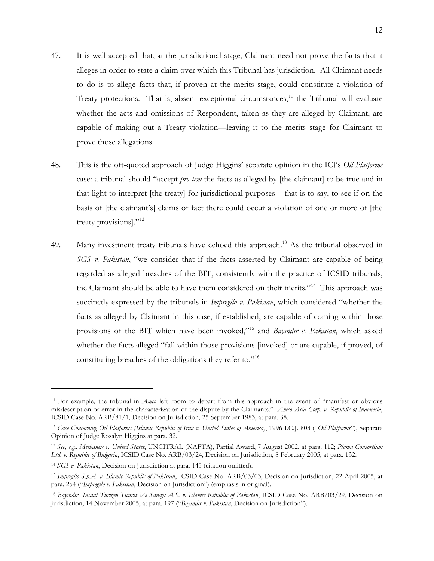- 47. It is well accepted that, at the jurisdictional stage, Claimant need not prove the facts that it alleges in order to state a claim over which this Tribunal has jurisdiction. All Claimant needs to do is to allege facts that, if proven at the merits stage, could constitute a violation of Treaty protections. That is, absent exceptional circumstances, $11$  the Tribunal will evaluate whether the acts and omissions of Respondent, taken as they are alleged by Claimant, are capable of making out a Treaty violation—leaving it to the merits stage for Claimant to prove those allegations.
- 48. This is the oft-quoted approach of Judge Higgins' separate opinion in the ICJ's *Oil Platforms* case: a tribunal should "accept *pro tem* the facts as alleged by [the claimant] to be true and in that light to interpret [the treaty] for jurisdictional purposes – that is to say, to see if on the basis of [the claimant's] claims of fact there could occur a violation of one or more of [the treaty provisions]."<sup>12</sup>
- 49. Many investment treaty tribunals have echoed this approach.<sup>[13](#page-14-2)</sup> As the tribunal observed in *SGS v. Pakistan*, "we consider that if the facts asserted by Claimant are capable of being regarded as alleged breaches of the BIT, consistently with the practice of ICSID tribunals, the Claimant should be able to have them considered on their merits."<sup>[14](#page-14-3)</sup> This approach was succinctly expressed by the tribunals in *Impregilo v. Pakistan*, which considered "whether the facts as alleged by Claimant in this case, if established, are capable of coming within those provisions of the BIT which have been invoked,"[15](#page-14-4) and *Bayındır v. Pakistan*, which asked whether the facts alleged "fall within those provisions [invoked] or are capable, if proved, of constituting breaches of the obligations they refer to."<sup>[16](#page-14-5)</sup>

<span id="page-14-0"></span><sup>11</sup> For example, the tribunal in *Amco* left room to depart from this approach in the event of "manifest or obvious misdescription or error in the characterization of the dispute by the Claimants." *Amco Asia Corp. v. Republic of Indonesia*, ICSID Case No. ARB/81/1, Decision on Jurisdiction, 25 September 1983, at para. 38.

<span id="page-14-1"></span><sup>12</sup> *Case Concerning Oil Platforms (Islamic Republic of Iran v. United States of America)*, 1996 I.C.J. 803 ("*Oil Platforms*"), Separate Opinion of Judge Rosalyn Higgins at para. 32.

<span id="page-14-2"></span><sup>13</sup> *See, e.g.*, *Methanex v. United States*, UNCITRAL (NAFTA), Partial Award, 7 August 2002, at para. 112; *Plama Consortium Ltd. v. Republic of Bulgaria*, ICSID Case No. ARB/03/24, Decision on Jurisdiction, 8 February 2005, at para. 132.

<span id="page-14-3"></span><sup>14</sup> *SGS v. Pakistan*, Decision on Jurisdiction at para. 145 (citation omitted).

<span id="page-14-4"></span><sup>15</sup> *Impregilo S.p.A. v. Islamic Republic of Pakistan*, ICSID Case No. ARB/03/03, Decision on Jurisdiction, 22 April 2005, at para. 254 ("*Impregilo v. Pakistan*, Decision on Jurisdiction") (emphasis in original).

<span id="page-14-5"></span><sup>16</sup> *Bayındır Insaat Turizm Ticaret Ve Sanayi A.S. v. Islamic Republic of Pakistan*, ICSID Case No. ARB/03/29, Decision on Jurisdiction, 14 November 2005, at para. 197 ("*Bayındır v. Pakistan*, Decision on Jurisdiction").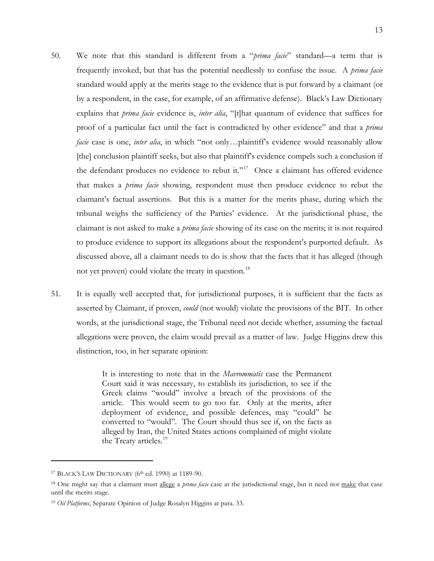- 50. We note that this standard is different from a "*prima facie*" standard—a term that is frequently invoked, but that has the potential needlessly to confuse the issue. A *prima facie* standard would apply at the merits stage to the evidence that is put forward by a claimant (or by a respondent, in the case, for example, of an affirmative defense). Black's Law Dictionary explains that *prima facie* evidence is, *inter alia*, "[t]hat quantum of evidence that suffices for proof of a particular fact until the fact is contradicted by other evidence" and that a *prima facie* case is one, *inter alia*, in which "not only...plaintiff's evidence would reasonably allow [the] conclusion plaintiff seeks, but also that plaintiff's evidence compels such a conclusion if the defendant produces no evidence to rebut it."<sup>[17](#page-15-0)</sup> Once a claimant has offered evidence that makes a *prima facie* showing, respondent must then produce evidence to rebut the claimant's factual assertions. But this is a matter for the merits phase, during which the tribunal weighs the sufficiency of the Parties' evidence. At the jurisdictional phase, the claimant is not asked to make a *prima facie* showing of its case on the merits; it is not required to produce evidence to support its allegations about the respondent's purported default. As discussed above, all a claimant needs to do is show that the facts that it has alleged (though not yet proven) could violate the treaty in question.<sup>18</sup>
- 51. It is equally well accepted that, for jurisdictional purposes, it is sufficient that the facts as asserted by Claimant, if proven, *could* (not would) violate the provisions of the BIT. In other words, at the jurisdictional stage, the Tribunal need not decide whether, assuming the factual allegations were proven, the claim would prevail as a matter of law. Judge Higgins drew this distinction, too, in her separate opinion:

It is interesting to note that in the *Mavrommatis* case the Permanent Court said it was necessary, to establish its jurisdiction, to see if the Greek claims "would" involve a breach of the provisions of the article. This would seem to go too far. Only at the merits, after deployment of evidence, and possible defences, may "could" be converted to "would". The Court should thus see if, on the facts as alleged by Iran, the United States actions complained of might violate the Treaty articles.<sup>[19](#page-15-2)</sup>

<span id="page-15-0"></span><sup>&</sup>lt;sup>17</sup> BLACK'S LAW DICTIONARY (6<sup>th</sup> ed. 1990) at 1189-90.

<span id="page-15-1"></span><sup>18</sup> One might say that a claimant must allege a *prima facie* case at the jurisdictional stage, but it need not make that case until the merits stage.

<span id="page-15-2"></span><sup>19</sup> *Oil Platforms*, Separate Opinion of Judge Rosalyn Higgins at para. 33.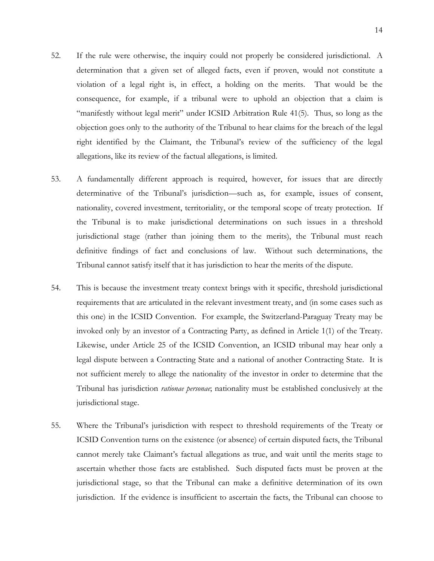- 52. If the rule were otherwise, the inquiry could not properly be considered jurisdictional. A determination that a given set of alleged facts, even if proven, would not constitute a violation of a legal right is, in effect, a holding on the merits. That would be the consequence, for example, if a tribunal were to uphold an objection that a claim is "manifestly without legal merit" under ICSID Arbitration Rule 41(5). Thus, so long as the objection goes only to the authority of the Tribunal to hear claims for the breach of the legal right identified by the Claimant, the Tribunal's review of the sufficiency of the legal allegations, like its review of the factual allegations, is limited.
- 53. A fundamentally different approach is required, however, for issues that are directly determinative of the Tribunal's jurisdiction—such as, for example, issues of consent, nationality, covered investment, territoriality, or the temporal scope of treaty protection. If the Tribunal is to make jurisdictional determinations on such issues in a threshold jurisdictional stage (rather than joining them to the merits), the Tribunal must reach definitive findings of fact and conclusions of law. Without such determinations, the Tribunal cannot satisfy itself that it has jurisdiction to hear the merits of the dispute.
- 54. This is because the investment treaty context brings with it specific, threshold jurisdictional requirements that are articulated in the relevant investment treaty, and (in some cases such as this one) in the ICSID Convention. For example, the Switzerland-Paraguay Treaty may be invoked only by an investor of a Contracting Party, as defined in Article 1(1) of the Treaty. Likewise, under Article 25 of the ICSID Convention, an ICSID tribunal may hear only a legal dispute between a Contracting State and a national of another Contracting State. It is not sufficient merely to allege the nationality of the investor in order to determine that the Tribunal has jurisdiction *rationae personae*; nationality must be established conclusively at the jurisdictional stage.
- 55. Where the Tribunal's jurisdiction with respect to threshold requirements of the Treaty or ICSID Convention turns on the existence (or absence) of certain disputed facts, the Tribunal cannot merely take Claimant's factual allegations as true, and wait until the merits stage to ascertain whether those facts are established. Such disputed facts must be proven at the jurisdictional stage, so that the Tribunal can make a definitive determination of its own jurisdiction. If the evidence is insufficient to ascertain the facts, the Tribunal can choose to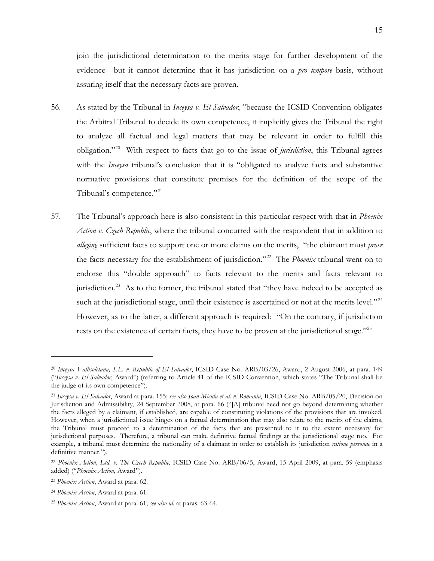join the jurisdictional determination to the merits stage for further development of the evidence—but it cannot determine that it has jurisdiction on a *pro tempore* basis, without assuring itself that the necessary facts are proven.

- 56. As stated by the Tribunal in *Inceysa v. El Salvador*, "because the ICSID Convention obligates the Arbitral Tribunal to decide its own competence, it implicitly gives the Tribunal the right to analyze all factual and legal matters that may be relevant in order to fulfill this obligation."[20](#page-17-0) With respect to facts that go to the issue of *jurisdiction*, this Tribunal agrees with the *Inceysa* tribunal's conclusion that it is "obligated to analyze facts and substantive normative provisions that constitute premises for the definition of the scope of the Tribunal's competence."<sup>21</sup>
- 57. The Tribunal's approach here is also consistent in this particular respect with that in *Phoenix Action v. Czech Republic*, where the tribunal concurred with the respondent that in addition to *alleging* sufficient facts to support one or more claims on the merits, "the claimant must *prove* the facts necessary for the establishment of jurisdiction."[22](#page-17-2) The *Phoenix* tribunal went on to endorse this "double approach" to facts relevant to the merits and facts relevant to jurisdiction.<sup>23</sup> As to the former, the tribunal stated that "they have indeed to be accepted as such at the jurisdictional stage, until their existence is ascertained or not at the merits level. $^{24}$  $^{24}$  $^{24}$ However, as to the latter, a different approach is required: "On the contrary, if jurisdiction rests on the existence of certain facts, they have to be proven at the jurisdictional stage."<sup>[25](#page-17-5)</sup>

<span id="page-17-0"></span><sup>20</sup> *Inceysa Vallisoletana, S.L. v. Republic of El Salvador*, ICSID Case No. ARB/03/26, Award, 2 August 2006, at para. 149 ("*Inceysa v. El Salvador*, Award") (referring to Article 41 of the ICSID Convention, which states "The Tribunal shall be the judge of its own competence").

<span id="page-17-1"></span><sup>21</sup> *Inceysa v. El Salvador*, Award at para. 155; *see also Ioan Micula et al. v. Romania*, ICSID Case No. ARB/05/20, Decision on Jurisdiction and Admissibility, 24 September 2008, at para. 66 ("[A] tribunal need not go beyond determining whether the facts alleged by a claimant, if established, are capable of constituting violations of the provisions that are invoked. However, when a jurisdictional issue hinges on a factual determination that may also relate to the merits of the claims, the Tribunal must proceed to a determination of the facts that are presented to it to the extent necessary for jurisdictional purposes. Therefore, a tribunal can make definitive factual findings at the jurisdictional stage too. For example, a tribunal must determine the nationality of a claimant in order to establish its jurisdiction *ratione personae* in a definitive manner.").

<span id="page-17-2"></span><sup>22</sup> *Phoenix Action, Ltd. v. The Czech Republic,* ICSID Case No. ARB/06/5, Award, 15 April 2009, at para. 59 (emphasis added) ("*Phoenix Action*, Award").

<span id="page-17-3"></span><sup>23</sup> *Phoenix Action*, Award at para. 62.

<span id="page-17-4"></span><sup>24</sup> *Phoenix Action*, Award at para. 61.

<span id="page-17-5"></span><sup>25</sup> *Phoenix Action*, Award at para. 61; *see also id.* at paras. 63-64.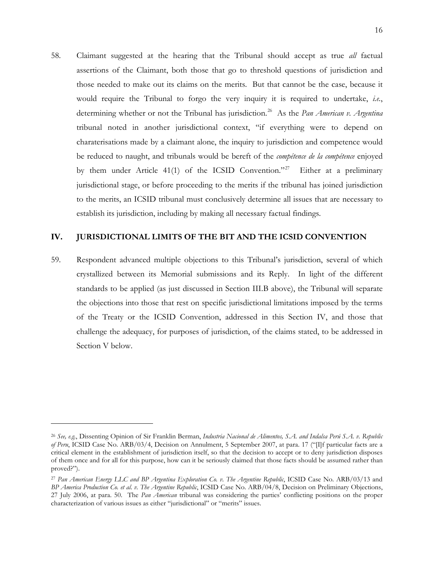58. Claimant suggested at the hearing that the Tribunal should accept as true *all* factual assertions of the Claimant, both those that go to threshold questions of jurisdiction and those needed to make out its claims on the merits. But that cannot be the case, because it would require the Tribunal to forgo the very inquiry it is required to undertake, *i.e.*, determining whether or not the Tribunal has jurisdiction.<sup>[26](#page-18-1)</sup> As the *Pan American v. Argentina* tribunal noted in another jurisdictional context, "if everything were to depend on charaterisations made by a claimant alone, the inquiry to jurisdiction and competence would be reduced to naught, and tribunals would be bereft of the *compétence de la compétence* enjoyed by them under Article 41(1) of the ICSID Convention."<sup>27</sup> Either at a preliminary jurisdictional stage, or before proceeding to the merits if the tribunal has joined jurisdiction to the merits, an ICSID tribunal must conclusively determine all issues that are necessary to establish its jurisdiction, including by making all necessary factual findings.

## <span id="page-18-0"></span>**IV. JURISDICTIONAL LIMITS OF THE BIT AND THE ICSID CONVENTION**

59. Respondent advanced multiple objections to this Tribunal's jurisdiction, several of which crystallized between its Memorial submissions and its Reply. In light of the different standards to be applied (as just discussed in Section [III.B](#page-12-3) above), the Tribunal will separate the objections into those that rest on specific jurisdictional limitations imposed by the terms of the Treaty or the ICSID Convention, addressed in this Section [IV,](#page-18-0) and those that challenge the adequacy, for purposes of jurisdiction, of the claims stated, to be addressed in Section [V](#page-41-0) below.

<span id="page-18-1"></span><sup>26</sup> *See, e.g.*, Dissenting Opinion of Sir Franklin Berman, *Industria Nacional de Alimentos, S.A. and Indalsa Perú S.A. v. Republic of Peru*, ICSID Case No. ARB/03/4, Decision on Annulment, 5 September 2007, at para. 17 ("[I]f particular facts are a critical element in the establishment of jurisdiction itself, so that the decision to accept or to deny jurisdiction disposes of them once and for all for this purpose, how can it be seriously claimed that those facts should be assumed rather than proved?").

<span id="page-18-2"></span><sup>&</sup>lt;sup>27</sup> Pan American Energy LLC and BP Argentina Exploration Co. v. The Argentine Republic, ICSID Case No. ARB/03/13 and *BP America Production Co. et al. v. The Argentine Republic*, ICSID Case No. ARB/04/8, Decision on Preliminary Objections, 27 July 2006, at para. 50. The *Pan American* tribunal was considering the parties' conflicting positions on the proper characterization of various issues as either "jurisdictional" or "merits" issues.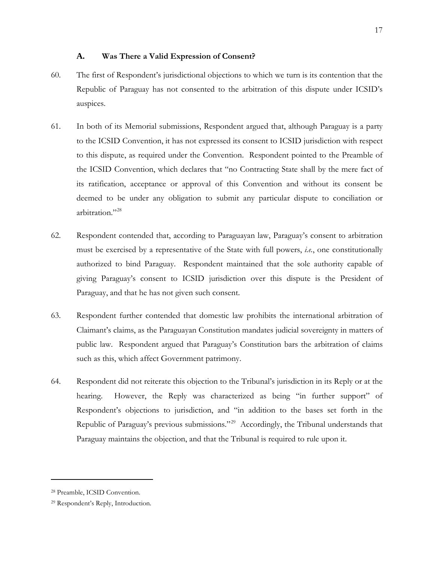## **A. Was There a Valid Expression of Consent?**

- <span id="page-19-2"></span>60. The first of Respondent's jurisdictional objections to which we turn is its contention that the Republic of Paraguay has not consented to the arbitration of this dispute under ICSID's auspices.
- 61. In both of its Memorial submissions, Respondent argued that, although Paraguay is a party to the ICSID Convention, it has not expressed its consent to ICSID jurisdiction with respect to this dispute, as required under the Convention. Respondent pointed to the Preamble of the ICSID Convention, which declares that "no Contracting State shall by the mere fact of its ratification, acceptance or approval of this Convention and without its consent be deemed to be under any obligation to submit any particular dispute to conciliation or arbitration."<sup>[28](#page-19-0)</sup>
- 62. Respondent contended that, according to Paraguayan law, Paraguay's consent to arbitration must be exercised by a representative of the State with full powers, *i.e.*, one constitutionally authorized to bind Paraguay. Respondent maintained that the sole authority capable of giving Paraguay's consent to ICSID jurisdiction over this dispute is the President of Paraguay, and that he has not given such consent.
- 63. Respondent further contended that domestic law prohibits the international arbitration of Claimant's claims, as the Paraguayan Constitution mandates judicial sovereignty in matters of public law. Respondent argued that Paraguay's Constitution bars the arbitration of claims such as this, which affect Government patrimony.
- 64. Respondent did not reiterate this objection to the Tribunal's jurisdiction in its Reply or at the hearing. However, the Reply was characterized as being "in further support" of Respondent's objections to jurisdiction, and "in addition to the bases set forth in the Republic of Paraguay's previous submissions."[29](#page-19-1) Accordingly, the Tribunal understands that Paraguay maintains the objection, and that the Tribunal is required to rule upon it.

<span id="page-19-0"></span><sup>28</sup> Preamble, ICSID Convention.

<span id="page-19-1"></span><sup>29</sup> Respondent's Reply, Introduction.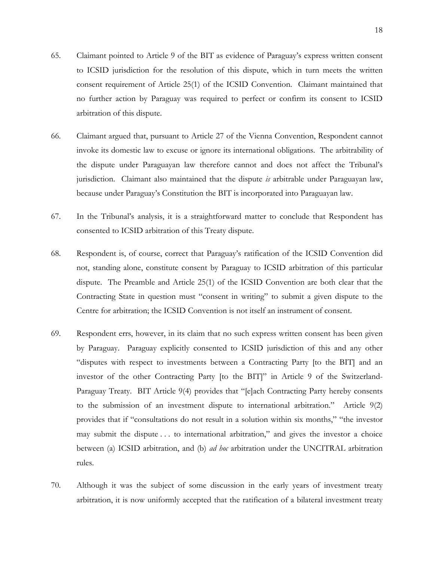- 65. Claimant pointed to Article 9 of the BIT as evidence of Paraguay's express written consent to ICSID jurisdiction for the resolution of this dispute, which in turn meets the written consent requirement of Article 25(1) of the ICSID Convention. Claimant maintained that no further action by Paraguay was required to perfect or confirm its consent to ICSID arbitration of this dispute.
- 66. Claimant argued that, pursuant to Article 27 of the Vienna Convention, Respondent cannot invoke its domestic law to excuse or ignore its international obligations. The arbitrability of the dispute under Paraguayan law therefore cannot and does not affect the Tribunal's jurisdiction. Claimant also maintained that the dispute *is* arbitrable under Paraguayan law, because under Paraguay's Constitution the BIT is incorporated into Paraguayan law.
- 67. In the Tribunal's analysis, it is a straightforward matter to conclude that Respondent has consented to ICSID arbitration of this Treaty dispute.
- 68. Respondent is, of course, correct that Paraguay's ratification of the ICSID Convention did not, standing alone, constitute consent by Paraguay to ICSID arbitration of this particular dispute. The Preamble and Article 25(1) of the ICSID Convention are both clear that the Contracting State in question must "consent in writing" to submit a given dispute to the Centre for arbitration; the ICSID Convention is not itself an instrument of consent.
- 69. Respondent errs, however, in its claim that no such express written consent has been given by Paraguay. Paraguay explicitly consented to ICSID jurisdiction of this and any other "disputes with respect to investments between a Contracting Party [to the BIT] and an investor of the other Contracting Party [to the BIT]" in Article 9 of the Switzerland-Paraguay Treaty. BIT Article 9(4) provides that "[e]ach Contracting Party hereby consents to the submission of an investment dispute to international arbitration." Article 9(2) provides that if "consultations do not result in a solution within six months," "the investor may submit the dispute . . . to international arbitration," and gives the investor a choice between (a) ICSID arbitration, and (b) *ad hoc* arbitration under the UNCITRAL arbitration rules.
- 70. Although it was the subject of some discussion in the early years of investment treaty arbitration, it is now uniformly accepted that the ratification of a bilateral investment treaty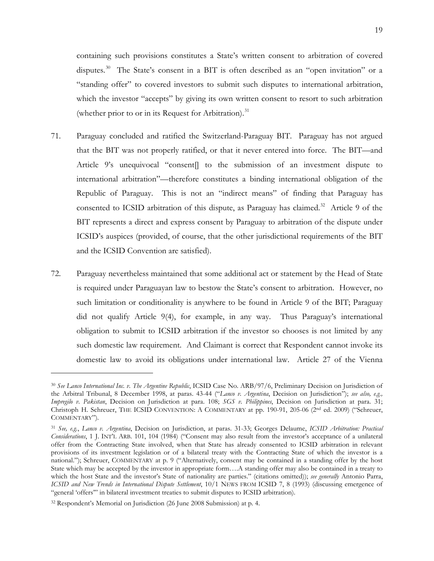containing such provisions constitutes a State's written consent to arbitration of covered disputes.<sup>30</sup> The State's consent in a BIT is often described as an "open invitation" or a "standing offer" to covered investors to submit such disputes to international arbitration, which the investor "accepts" by giving its own written consent to resort to such arbitration (whether prior to or in its Request for Arbitration).<sup>31</sup>

- 71. Paraguay concluded and ratified the Switzerland-Paraguay BIT. Paraguay has not argued that the BIT was not properly ratified, or that it never entered into force. The BIT—and Article 9's unequivocal "consent] to the submission of an investment dispute to international arbitration"—therefore constitutes a binding international obligation of the Republic of Paraguay. This is not an "indirect means" of finding that Paraguay has consented to ICSID arbitration of this dispute, as Paraguay has claimed.<sup>32</sup> Article 9 of the BIT represents a direct and express consent by Paraguay to arbitration of the dispute under ICSID's auspices (provided, of course, that the other jurisdictional requirements of the BIT and the ICSID Convention are satisfied).
- 72. Paraguay nevertheless maintained that some additional act or statement by the Head of State is required under Paraguayan law to bestow the State's consent to arbitration. However, no such limitation or conditionality is anywhere to be found in Article 9 of the BIT; Paraguay did not qualify Article 9(4), for example, in any way. Thus Paraguay's international obligation to submit to ICSID arbitration if the investor so chooses is not limited by any such domestic law requirement. And Claimant is correct that Respondent cannot invoke its domestic law to avoid its obligations under international law. Article 27 of the Vienna

<span id="page-21-0"></span><sup>30</sup> *See Lanco International Inc. v. The Argentine Republic*, ICSID Case No. ARB/97/6, Preliminary Decision on Jurisdiction of the Arbitral Tribunal, 8 December 1998, at paras. 43-44 ("*Lanco v. Argentina*, Decision on Jurisdiction"); *see also, e.g., Impregilo v. Pakistan*, Decision on Jurisdiction at para. 108; *SGS v. Philippines*, Decision on Jurisdiction at para. 31; Christoph H. Schreuer, THE ICSID CONVENTION: A COMMENTARY at pp. 190-91, 205-06 (2<sup>nd</sup> ed. 2009) ("Schreuer, COMMENTARY").

<span id="page-21-1"></span><sup>31</sup> *See, e.g.*, *Lanco v. Argentina*, Decision on Jurisdiction, at paras. 31-33; Georges Delaume, *ICSID Arbitration: Practical Considerations*, 1 J. INT'L ARB. 101, 104 (1984) ("Consent may also result from the investor's acceptance of a unilateral offer from the Contracting State involved, when that State has already consented to ICSID arbitration in relevant provisions of its investment legislation or of a bilateral treaty with the Contracting State of which the investor is a national."); Schreuer, COMMENTARY at p. 9 ("Alternatively, consent may be contained in a standing offer by the host State which may be accepted by the investor in appropriate form….A standing offer may also be contained in a treaty to which the host State and the investor's State of nationality are parties." (citations omitted)); *see generally* Antonio Parra, *ICSID and New Trends in International Dispute Settlement*, 10/1 NEWS FROM ICSID 7, 8 (1993) (discussing emergence of "general 'offers'" in bilateral investment treaties to submit disputes to ICSID arbitration).

<span id="page-21-2"></span><sup>32</sup> Respondent's Memorial on Jurisdiction (26 June 2008 Submission) at p. 4.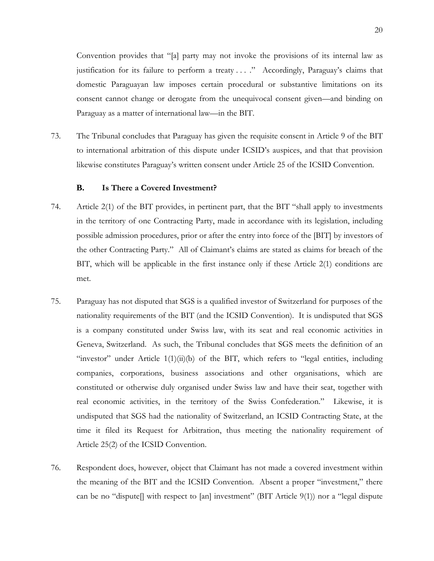Convention provides that "[a] party may not invoke the provisions of its internal law as justification for its failure to perform a treaty . . . ." Accordingly, Paraguay's claims that domestic Paraguayan law imposes certain procedural or substantive limitations on its consent cannot change or derogate from the unequivocal consent given—and binding on Paraguay as a matter of international law—in the BIT.

73. The Tribunal concludes that Paraguay has given the requisite consent in Article 9 of the BIT to international arbitration of this dispute under ICSID's auspices, and that that provision likewise constitutes Paraguay's written consent under Article 25 of the ICSID Convention.

# **B. Is There a Covered Investment?**

- 74. Article 2(1) of the BIT provides, in pertinent part, that the BIT "shall apply to investments in the territory of one Contracting Party, made in accordance with its legislation, including possible admission procedures, prior or after the entry into force of the [BIT] by investors of the other Contracting Party." All of Claimant's claims are stated as claims for breach of the BIT, which will be applicable in the first instance only if these Article 2(1) conditions are met.
- 75. Paraguay has not disputed that SGS is a qualified investor of Switzerland for purposes of the nationality requirements of the BIT (and the ICSID Convention). It is undisputed that SGS is a company constituted under Swiss law, with its seat and real economic activities in Geneva, Switzerland. As such, the Tribunal concludes that SGS meets the definition of an "investor" under Article 1(1)(ii)(b) of the BIT, which refers to "legal entities, including companies, corporations, business associations and other organisations, which are constituted or otherwise duly organised under Swiss law and have their seat, together with real economic activities, in the territory of the Swiss Confederation." Likewise, it is undisputed that SGS had the nationality of Switzerland, an ICSID Contracting State, at the time it filed its Request for Arbitration, thus meeting the nationality requirement of Article 25(2) of the ICSID Convention.
- 76. Respondent does, however, object that Claimant has not made a covered investment within the meaning of the BIT and the ICSID Convention. Absent a proper "investment," there can be no "dispute[] with respect to [an] investment" (BIT Article 9(1)) nor a "legal dispute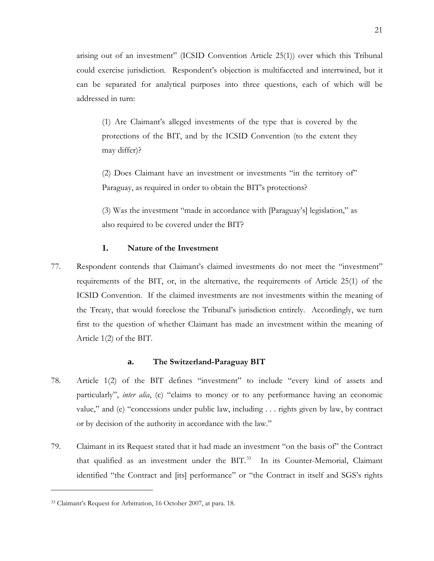arising out of an investment" (ICSID Convention Article 25(1)) over which this Tribunal could exercise jurisdiction. Respondent's objection is multifaceted and intertwined, but it can be separated for analytical purposes into three questions, each of which will be addressed in turn:

(1) Are Claimant's alleged investments of the type that is covered by the protections of the BIT, and by the ICSID Convention (to the extent they may differ)?

(2) Does Claimant have an investment or investments "in the territory of" Paraguay, as required in order to obtain the BIT's protections?

(3) Was the investment "made in accordance with [Paraguay's] legislation," as also required to be covered under the BIT?

# **1. Nature of the Investment**

77. Respondent contends that Claimant's claimed investments do not meet the "investment" requirements of the BIT, or, in the alternative, the requirements of Article 25(1) of the ICSID Convention. If the claimed investments are not investments within the meaning of the Treaty, that would foreclose the Tribunal's jurisdiction entirely. Accordingly, we turn first to the question of whether Claimant has made an investment within the meaning of Article 1(2) of the BIT.

# **a. The Switzerland-Paraguay BIT**

- 78. Article 1(2) of the BIT defines "investment" to include "every kind of assets and particularly", *inter alia*, (c) "claims to money or to any performance having an economic value," and (e) "concessions under public law, including . . . rights given by law, by contract or by decision of the authority in accordance with the law."
- 79. Claimant in its Request stated that it had made an investment "on the basis of" the Contract that qualified as an investment under the BIT.<sup>[33](#page-23-0)</sup> In its Counter-Memorial, Claimant identified "the Contract and [its] performance" or "the Contract in itself and SGS's rights

<span id="page-23-0"></span><sup>33</sup> Claimant's Request for Arbitration, 16 October 2007, at para. 18.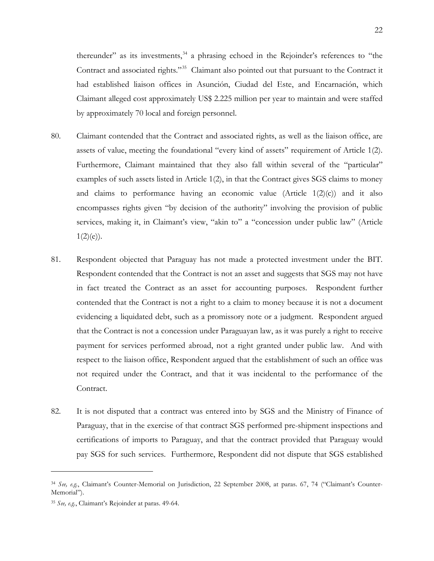thereunder" as its investments,<sup>[34](#page-24-0)</sup> a phrasing echoed in the Rejoinder's references to "the Contract and associated rights."<sup>[35](#page-24-1)</sup> Claimant also pointed out that pursuant to the Contract it had established liaison offices in Asunción, Ciudad del Este, and Encarnación, which Claimant alleged cost approximately US\$ 2.225 million per year to maintain and were staffed by approximately 70 local and foreign personnel.

- 80. Claimant contended that the Contract and associated rights, as well as the liaison office, are assets of value, meeting the foundational "every kind of assets" requirement of Article 1(2). Furthermore, Claimant maintained that they also fall within several of the "particular" examples of such assets listed in Article 1(2), in that the Contract gives SGS claims to money and claims to performance having an economic value (Article  $1(2)(c)$ ) and it also encompasses rights given "by decision of the authority" involving the provision of public services, making it, in Claimant's view, "akin to" a "concession under public law" (Article  $1(2)(e)$ ).
- 81. Respondent objected that Paraguay has not made a protected investment under the BIT. Respondent contended that the Contract is not an asset and suggests that SGS may not have in fact treated the Contract as an asset for accounting purposes. Respondent further contended that the Contract is not a right to a claim to money because it is not a document evidencing a liquidated debt, such as a promissory note or a judgment. Respondent argued that the Contract is not a concession under Paraguayan law, as it was purely a right to receive payment for services performed abroad, not a right granted under public law. And with respect to the liaison office, Respondent argued that the establishment of such an office was not required under the Contract, and that it was incidental to the performance of the Contract.
- 82. It is not disputed that a contract was entered into by SGS and the Ministry of Finance of Paraguay, that in the exercise of that contract SGS performed pre-shipment inspections and certifications of imports to Paraguay, and that the contract provided that Paraguay would pay SGS for such services. Furthermore, Respondent did not dispute that SGS established

<span id="page-24-0"></span><sup>34</sup> *See, e.g.*, Claimant's Counter-Memorial on Jurisdiction, 22 September 2008, at paras. 67, 74 ("Claimant's Counter-Memorial").

<span id="page-24-1"></span><sup>35</sup> *See, e.g.*, Claimant's Rejoinder at paras. 49-64.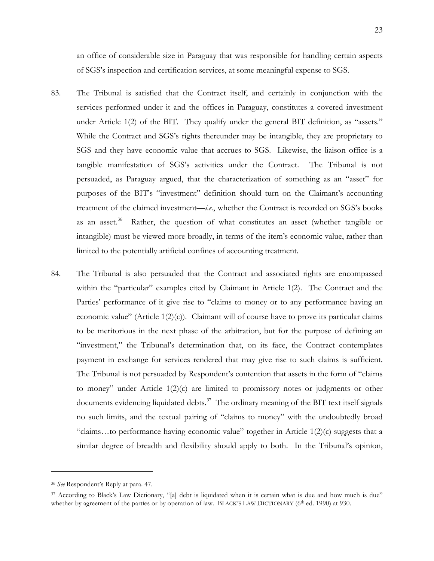an office of considerable size in Paraguay that was responsible for handling certain aspects of SGS's inspection and certification services, at some meaningful expense to SGS.

- 83. The Tribunal is satisfied that the Contract itself, and certainly in conjunction with the services performed under it and the offices in Paraguay, constitutes a covered investment under Article 1(2) of the BIT. They qualify under the general BIT definition, as "assets." While the Contract and SGS's rights thereunder may be intangible, they are proprietary to SGS and they have economic value that accrues to SGS. Likewise, the liaison office is a tangible manifestation of SGS's activities under the Contract. The Tribunal is not persuaded, as Paraguay argued, that the characterization of something as an "asset" for purposes of the BIT's "investment" definition should turn on the Claimant's accounting treatment of the claimed investment—*i.e.*, whether the Contract is recorded on SGS's books as an asset.<sup>36</sup> Rather, the question of what constitutes an asset (whether tangible or intangible) must be viewed more broadly, in terms of the item's economic value, rather than limited to the potentially artificial confines of accounting treatment.
- 84. The Tribunal is also persuaded that the Contract and associated rights are encompassed within the "particular" examples cited by Claimant in Article 1(2). The Contract and the Parties' performance of it give rise to "claims to money or to any performance having an economic value" (Article 1(2)(c)). Claimant will of course have to prove its particular claims to be meritorious in the next phase of the arbitration, but for the purpose of defining an "investment," the Tribunal's determination that, on its face, the Contract contemplates payment in exchange for services rendered that may give rise to such claims is sufficient. The Tribunal is not persuaded by Respondent's contention that assets in the form of "claims to money" under Article 1(2)(c) are limited to promissory notes or judgments or other documents evidencing liquidated debts.<sup>[37](#page-25-1)</sup> The ordinary meaning of the BIT text itself signals no such limits, and the textual pairing of "claims to money" with the undoubtedly broad "claims...to performance having economic value" together in Article  $1(2)(c)$  suggests that a similar degree of breadth and flexibility should apply to both. In the Tribunal's opinion,

<span id="page-25-0"></span><sup>36</sup> *See* Respondent's Reply at para. 47.

<span id="page-25-1"></span><sup>&</sup>lt;sup>37</sup> According to Black's Law Dictionary, "[a] debt is liquidated when it is certain what is due and how much is due" whether by agreement of the parties or by operation of law. BLACK'S LAW DICTIONARY (6th ed. 1990) at 930.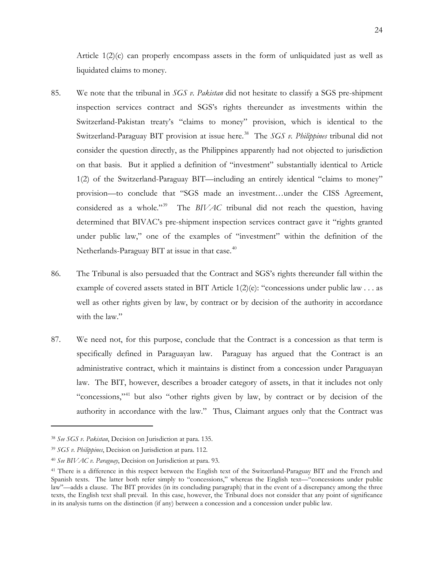Article  $1(2)(c)$  can properly encompass assets in the form of unliquidated just as well as liquidated claims to money.

- 85. We note that the tribunal in *SGS v. Pakistan* did not hesitate to classify a SGS pre-shipment inspection services contract and SGS's rights thereunder as investments within the Switzerland-Pakistan treaty's "claims to money" provision, which is identical to the Switzerland-Paraguay BIT provision at issue here.<sup>[38](#page-26-0)</sup> The *SGS v. Philippines* tribunal did not consider the question directly, as the Philippines apparently had not objected to jurisdiction on that basis. But it applied a definition of "investment" substantially identical to Article 1(2) of the Switzerland-Paraguay BIT—including an entirely identical "claims to money" provision—to conclude that "SGS made an investment…under the CISS Agreement, considered as a whole."<sup>[39](#page-26-1)</sup> The *BIVAC* tribunal did not reach the question, having determined that BIVAC's pre-shipment inspection services contract gave it "rights granted under public law," one of the examples of "investment" within the definition of the Netherlands-Paraguay BIT at issue in that case.<sup>[40](#page-26-2)</sup>
- 86. The Tribunal is also persuaded that the Contract and SGS's rights thereunder fall within the example of covered assets stated in BIT Article 1(2)(e): "concessions under public law . . . as well as other rights given by law, by contract or by decision of the authority in accordance with the law."
- 87. We need not, for this purpose, conclude that the Contract is a concession as that term is specifically defined in Paraguayan law. Paraguay has argued that the Contract is an administrative contract, which it maintains is distinct from a concession under Paraguayan law. The BIT, however, describes a broader category of assets, in that it includes not only "concessions,"<sup>[41](#page-26-3)</sup> but also "other rights given by law, by contract or by decision of the authority in accordance with the law." Thus, Claimant argues only that the Contract was

<span id="page-26-0"></span><sup>38</sup> *See SGS v. Pakistan*, Decision on Jurisdiction at para. 135.

<span id="page-26-1"></span><sup>39</sup> *SGS v. Philippines*, Decision on Jurisdiction at para. 112.

<span id="page-26-2"></span><sup>40</sup> *See BIVAC v. Paraguay*, Decision on Jurisdiction at para. 93.

<span id="page-26-3"></span><sup>41</sup> There is a difference in this respect between the English text of the Switzerland-Paraguay BIT and the French and Spanish texts. The latter both refer simply to "concessions," whereas the English text—"concessions under public law"—adds a clause. The BIT provides (in its concluding paragraph) that in the event of a discrepancy among the three texts, the English text shall prevail. In this case, however, the Tribunal does not consider that any point of significance in its analysis turns on the distinction (if any) between a concession and a concession under public law.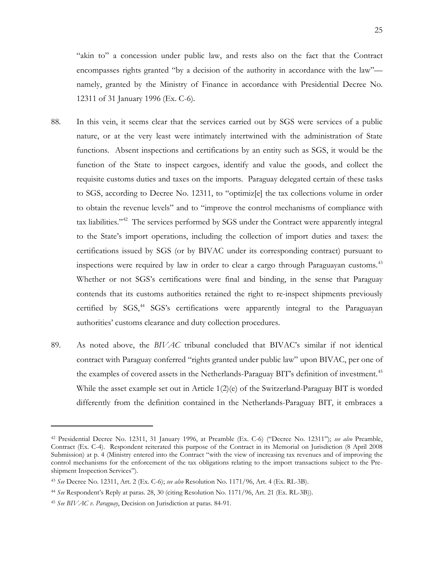"akin to" a concession under public law, and rests also on the fact that the Contract encompasses rights granted "by a decision of the authority in accordance with the law" namely, granted by the Ministry of Finance in accordance with Presidential Decree No. 12311 of 31 January 1996 (Ex. C-6).

- 88. In this vein, it seems clear that the services carried out by SGS were services of a public nature, or at the very least were intimately intertwined with the administration of State functions. Absent inspections and certifications by an entity such as SGS, it would be the function of the State to inspect cargoes, identify and value the goods, and collect the requisite customs duties and taxes on the imports. Paraguay delegated certain of these tasks to SGS, according to Decree No. 12311, to "optimiz[e] the tax collections volume in order to obtain the revenue levels" and to "improve the control mechanisms of compliance with tax liabilities."<sup>[42](#page-27-0)</sup> The services performed by SGS under the Contract were apparently integral to the State's import operations, including the collection of import duties and taxes: the certifications issued by SGS (or by BIVAC under its corresponding contract) pursuant to inspections were required by law in order to clear a cargo through Paraguayan customs.<sup>[43](#page-27-1)</sup> Whether or not SGS's certifications were final and binding, in the sense that Paraguay contends that its customs authorities retained the right to re-inspect shipments previously certified by SGS,<sup>[44](#page-27-2)</sup> SGS's certifications were apparently integral to the Paraguayan authorities' customs clearance and duty collection procedures.
- 89. As noted above, the *BIVAC* tribunal concluded that BIVAC's similar if not identical contract with Paraguay conferred "rights granted under public law" upon BIVAC, per one of the examples of covered assets in the Netherlands-Paraguay BIT's definition of investment.<sup>[45](#page-27-3)</sup> While the asset example set out in Article  $1(2)(e)$  of the Switzerland-Paraguay BIT is worded differently from the definition contained in the Netherlands-Paraguay BIT, it embraces a

<span id="page-27-0"></span><sup>42</sup> Presidential Decree No. 12311, 31 January 1996, at Preamble (Ex. C-6) ("Decree No. 12311"); *see also* Preamble, Contract (Ex. C-4). Respondent reiterated this purpose of the Contract in its Memorial on Jurisdiction (8 April 2008 Submission) at p. 4 (Ministry entered into the Contract "with the view of increasing tax revenues and of improving the control mechanisms for the enforcement of the tax obligations relating to the import transactions subject to the Preshipment Inspection Services").

<span id="page-27-1"></span><sup>43</sup> *See* Decree No. 12311, Art. 2 (Ex. C-6); *see also* Resolution No. 1171/96, Art. 4 (Ex. RL-3B).

<span id="page-27-2"></span><sup>44</sup> *See* Respondent's Reply at paras. 28, 30 (citing Resolution No. 1171/96, Art. 21 (Ex. RL-3B)).

<span id="page-27-3"></span><sup>45</sup> *See BIVAC v. Paraguay*, Decision on Jurisdiction at paras. 84-91.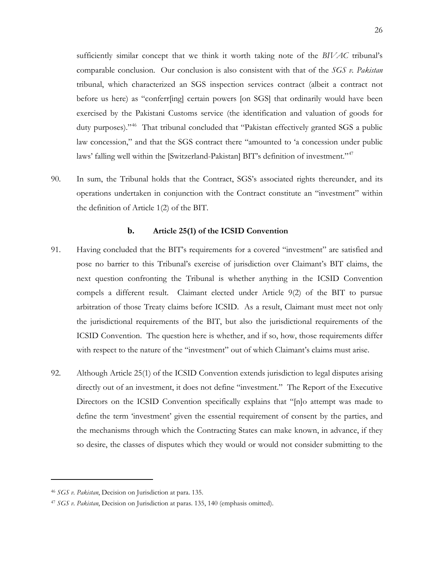sufficiently similar concept that we think it worth taking note of the *BIVAC* tribunal's comparable conclusion. Our conclusion is also consistent with that of the *SGS v. Pakistan* tribunal, which characterized an SGS inspection services contract (albeit a contract not before us here) as "conferr[ing] certain powers [on SGS] that ordinarily would have been exercised by the Pakistani Customs service (the identification and valuation of goods for duty purposes)."<sup>46</sup> That tribunal concluded that "Pakistan effectively granted SGS a public law concession," and that the SGS contract there "amounted to 'a concession under public laws' falling well within the [Switzerland-Pakistan] BIT's definition of investment."<sup>[47](#page-28-1)</sup>

90. In sum, the Tribunal holds that the Contract, SGS's associated rights thereunder, and its operations undertaken in conjunction with the Contract constitute an "investment" within the definition of Article 1(2) of the BIT.

### **b. Article 25(1) of the ICSID Convention**

- 91. Having concluded that the BIT's requirements for a covered "investment" are satisfied and pose no barrier to this Tribunal's exercise of jurisdiction over Claimant's BIT claims, the next question confronting the Tribunal is whether anything in the ICSID Convention compels a different result. Claimant elected under Article 9(2) of the BIT to pursue arbitration of those Treaty claims before ICSID. As a result, Claimant must meet not only the jurisdictional requirements of the BIT, but also the jurisdictional requirements of the ICSID Convention. The question here is whether, and if so, how, those requirements differ with respect to the nature of the "investment" out of which Claimant's claims must arise.
- 92. Although Article 25(1) of the ICSID Convention extends jurisdiction to legal disputes arising directly out of an investment, it does not define "investment." The Report of the Executive Directors on the ICSID Convention specifically explains that "[n]o attempt was made to define the term 'investment' given the essential requirement of consent by the parties, and the mechanisms through which the Contracting States can make known, in advance, if they so desire, the classes of disputes which they would or would not consider submitting to the

<span id="page-28-0"></span><sup>46</sup> *SGS v. Pakistan*, Decision on Jurisdiction at para. 135.

<span id="page-28-1"></span><sup>47</sup> *SGS v. Pakistan*, Decision on Jurisdiction at paras. 135, 140 (emphasis omitted).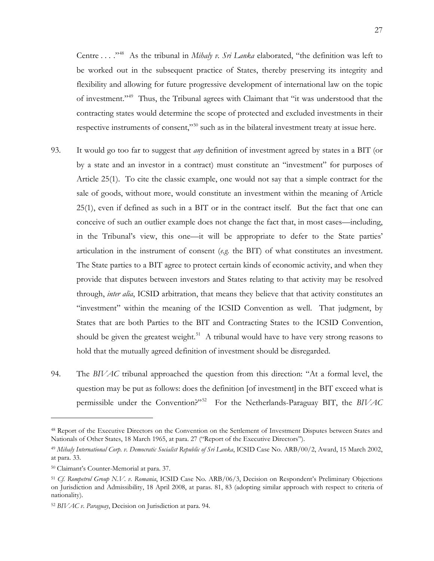Centre . . . .<sup>,48</sup> As the tribunal in *Mihaly v. Sri Lanka* elaborated, "the definition was left to be worked out in the subsequent practice of States, thereby preserving its integrity and flexibility and allowing for future progressive development of international law on the topic of investment."[49](#page-29-1) Thus, the Tribunal agrees with Claimant that "it was understood that the contracting states would determine the scope of protected and excluded investments in their respective instruments of consent,"<sup>[50](#page-29-2)</sup> such as in the bilateral investment treaty at issue here.

- 93. It would go too far to suggest that *any* definition of investment agreed by states in a BIT (or by a state and an investor in a contract) must constitute an "investment" for purposes of Article 25(1). To cite the classic example, one would not say that a simple contract for the sale of goods, without more, would constitute an investment within the meaning of Article 25(1), even if defined as such in a BIT or in the contract itself. But the fact that one can conceive of such an outlier example does not change the fact that, in most cases—including, in the Tribunal's view, this one—it will be appropriate to defer to the State parties' articulation in the instrument of consent (*e.g.* the BIT) of what constitutes an investment. The State parties to a BIT agree to protect certain kinds of economic activity, and when they provide that disputes between investors and States relating to that activity may be resolved through, *inter alia*, ICSID arbitration, that means they believe that that activity constitutes an "investment" within the meaning of the ICSID Convention as well. That judgment, by States that are both Parties to the BIT and Contracting States to the ICSID Convention, should be given the greatest weight.<sup>51</sup> A tribunal would have to have very strong reasons to hold that the mutually agreed definition of investment should be disregarded.
- 94. The *BIVAC* tribunal approached the question from this direction: "At a formal level, the question may be put as follows: does the definition [of investment] in the BIT exceed what is permissible under the Convention?"[52](#page-29-4) For the Netherlands-Paraguay BIT, the *BIVAC*

<span id="page-29-0"></span><sup>48</sup> Report of the Executive Directors on the Convention on the Settlement of Investment Disputes between States and Nationals of Other States, 18 March 1965, at para. 27 ("Report of the Executive Directors").

<span id="page-29-1"></span><sup>49</sup> *Mihaly International Corp. v. Democratic Socialist Republic of Sri Lanka*, ICSID Case No. ARB/00/2, Award, 15 March 2002, at para. 33.

<span id="page-29-2"></span><sup>50</sup> Claimant's Counter-Memorial at para. 37.

<span id="page-29-3"></span><sup>51</sup> *Cf. Rompetrol Group N.V. v. Romania*, ICSID Case No. ARB/06/3, Decision on Respondent's Preliminary Objections on Jurisdiction and Admissibility, 18 April 2008, at paras. 81, 83 (adopting similar approach with respect to criteria of nationality).

<span id="page-29-4"></span><sup>52</sup> *BIVAC v. Paraguay*, Decision on Jurisdiction at para. 94.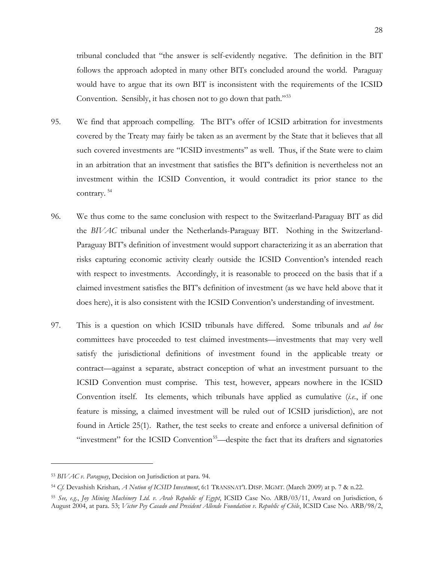tribunal concluded that "the answer is self-evidently negative. The definition in the BIT follows the approach adopted in many other BITs concluded around the world. Paraguay would have to argue that its own BIT is inconsistent with the requirements of the ICSID Convention. Sensibly, it has chosen not to go down that path."[53](#page-30-0)

- 95. We find that approach compelling. The BIT's offer of ICSID arbitration for investments covered by the Treaty may fairly be taken as an averment by the State that it believes that all such covered investments are "ICSID investments" as well. Thus, if the State were to claim in an arbitration that an investment that satisfies the BIT's definition is nevertheless not an investment within the ICSID Convention, it would contradict its prior stance to the contrary. [54](#page-30-1)
- 96. We thus come to the same conclusion with respect to the Switzerland-Paraguay BIT as did the *BIVAC* tribunal under the Netherlands-Paraguay BIT. Nothing in the Switzerland-Paraguay BIT's definition of investment would support characterizing it as an aberration that risks capturing economic activity clearly outside the ICSID Convention's intended reach with respect to investments. Accordingly, it is reasonable to proceed on the basis that if a claimed investment satisfies the BIT's definition of investment (as we have held above that it does here), it is also consistent with the ICSID Convention's understanding of investment.
- 97. This is a question on which ICSID tribunals have differed. Some tribunals and *ad hoc* committees have proceeded to test claimed investments—investments that may very well satisfy the jurisdictional definitions of investment found in the applicable treaty or contract—against a separate, abstract conception of what an investment pursuant to the ICSID Convention must comprise. This test, however, appears nowhere in the ICSID Convention itself. Its elements, which tribunals have applied as cumulative (*i.e.*, if one feature is missing, a claimed investment will be ruled out of ICSID jurisdiction), are not found in Article 25(1). Rather, the test seeks to create and enforce a universal definition of "investment" for the ICSID Convention<sup>55</sup>—despite the fact that its drafters and signatories

<span id="page-30-0"></span><sup>53</sup> *BIVAC v. Paraguay*, Decision on Jurisdiction at para. 94.

<span id="page-30-1"></span><sup>54</sup> *Cf.* Devashish Krishan*, A Notion of ICSID Investment*, 6:1 TRANSNAT'L DISP. MGMT. (March 2009) at p. 7 & n.22.

<span id="page-30-2"></span><sup>55</sup> *See, e.g.*, *Joy Mining Machinery Ltd. v. Arab Republic of Egypt*, ICSID Case No. ARB/03/11, Award on Jurisdiction, 6 August 2004, at para. 53; *Victor Pey Casado and President Allende Foundation v. Republic of Chile*, ICSID Case No. ARB/98/2,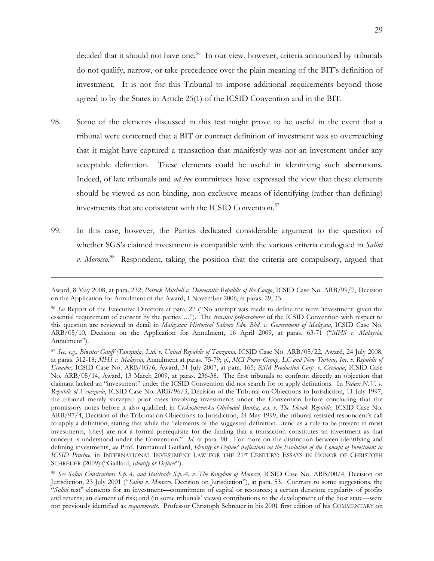decided that it should not have one.<sup>56</sup> In our view, however, criteria announced by tribunals do not qualify, narrow, or take precedence over the plain meaning of the BIT's definition of investment. It is not for this Tribunal to impose additional requirements beyond those agreed to by the States in Article 25(1) of the ICSID Convention and in the BIT.

- 98. Some of the elements discussed in this test might prove to be useful in the event that a tribunal were concerned that a BIT or contract definition of investment was so overreaching that it might have captured a transaction that manifestly was not an investment under any acceptable definition. These elements could be useful in identifying such aberrations. Indeed, of late tribunals and *ad hoc* committees have expressed the view that these elements should be viewed as non-binding, non-exclusive means of identifying (rather than defining) investments that are consistent with the ICSID Convention.<sup>[57](#page-31-1)</sup>
- 99. In this case, however, the Parties dedicated considerable argument to the question of whether SGS's claimed investment is compatible with the various criteria catalogued in *Salini v. Morocco*. [58](#page-31-2) Respondent, taking the position that the criteria are compulsory, argued that

Award, 8 May 2008, at para. 232; *Patrick Mitchell v. Democratic Republic of the Congo*, ICSID Case No. ARB/99/7, Decision on the Application for Annulment of the Award, 1 November 2006, at paras. 29, 33.

<span id="page-31-0"></span><sup>56</sup> *See* Report of the Executive Directors at para. 27 ("No attempt was made to define the term 'investment' given the essential requirement of consent by the parties…."). The *travaux préparatoires* of the ICSID Convention with respect to this question are reviewed in detail in *Malaysian Historical Salvors Sdn. Bhd. v. Government of Malaysia*, ICSID Case No. ARB/05/10, Decision on the Application for Annulment, 16 April 2009, at paras. 63-71 ("*MHS v. Malaysia*, Annulment").

<span id="page-31-1"></span><sup>57</sup> *See, e.g.*, *Biwater Gauff (Tanzania) Ltd. v. United Republic of Tanzania*, ICSID Case No. ARB/05/22, Award, 24 July 2008, at paras. 312-18; *MHS v. Malaysia*, Annulment at paras. 75-79; *cf.*, *MCI Power Group, LC and New Turbine, Inc. v. Republic of Ecuador*, ICSID Case No. ARB/03/6, Award, 31 July 2007, at para. 165; *RSM Production Corp. v. Grenada*, ICSID Case No. ARB/05/14, Award, 13 March 2009, at paras. 236-38. The first tribunals to confront directly an objection that claimant lacked an "investment" under the ICSID Convention did not search for or apply definitions. In *Fedax N.V. v. Republic of Venezuela*, ICSID Case No. ARB/96/3, Decision of the Tribunal on Objections to Jurisdiction, 11 July 1997, the tribunal merely surveyed prior cases involving investments under the Convention before concluding that the promissory notes before it also qualified; in *Ceskoslovenska Obchodni Banka, a.s. v. The Slovak Republic,* ICSID Case No. ARB/97/4, Decision of the Tribunal on Objections to Jurisdiction, 24 May 1999, the tribunal resisted respondent's call to apply a definition, stating that while the "elements of the suggested definition…tend as a rule to be present in most investments, [they] are not a formal prerequisite for the finding that a transaction constitutes an investment as that concept is understood under the Convention." *Id.* at para. 90. For more on the distinction between identifying and defining investments, *see* Prof. Emmanuel Gaillard, *Identify or Define? Reflections on the Evolution of the Concept of Investment in ICSID Practice*, in INTERNATIONAL INVESTMENT LAW FOR THE 21<sup>st</sup> CENTURY: ESSAYS IN HONOR OF CHRISTOPH SCHREUER (2009) ("Gaillard, *Identify or Define?*").

<span id="page-31-2"></span><sup>58</sup> *See Salini Construittori S.p.A. and Italstrade S.p.A. v. The Kingdom of Morocco*, ICSID Case No. ARB/00/4, Decision on Jurisdiction, 23 July 2001 ("*Salini v. Morocco*, Decision on Jurisdiction"), at para. 53. Contrary to some suggestions, the "*Salini* test" elements for an investment—commitment of capital or resources; a certain duration; regularity of profits and returns; an element of risk; and (in some tribunals' views) contributions to the development of the host state—were not previously identified as *requirements*. Professor Christoph Schreuer in his 2001 first edition of his COMMENTARY on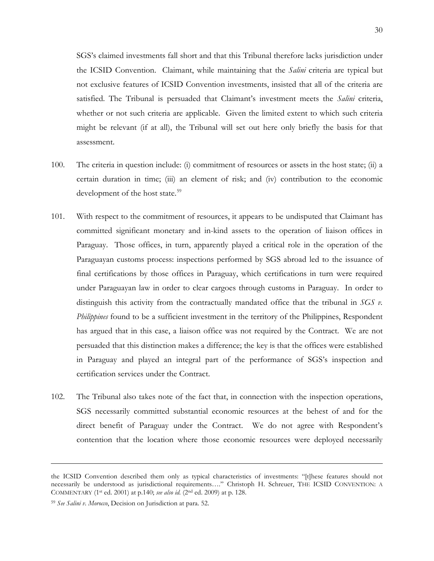SGS's claimed investments fall short and that this Tribunal therefore lacks jurisdiction under the ICSID Convention. Claimant, while maintaining that the *Salini* criteria are typical but not exclusive features of ICSID Convention investments, insisted that all of the criteria are satisfied. The Tribunal is persuaded that Claimant's investment meets the *Salini* criteria, whether or not such criteria are applicable. Given the limited extent to which such criteria might be relevant (if at all), the Tribunal will set out here only briefly the basis for that assessment.

- 100. The criteria in question include: (i) commitment of resources or assets in the host state; (ii) a certain duration in time; (iii) an element of risk; and (iv) contribution to the economic development of the host state.<sup>[59](#page-32-0)</sup>
- 101. With respect to the commitment of resources, it appears to be undisputed that Claimant has committed significant monetary and in-kind assets to the operation of liaison offices in Paraguay. Those offices, in turn, apparently played a critical role in the operation of the Paraguayan customs process: inspections performed by SGS abroad led to the issuance of final certifications by those offices in Paraguay, which certifications in turn were required under Paraguayan law in order to clear cargoes through customs in Paraguay. In order to distinguish this activity from the contractually mandated office that the tribunal in *SGS v. Philippines* found to be a sufficient investment in the territory of the Philippines, Respondent has argued that in this case, a liaison office was not required by the Contract. We are not persuaded that this distinction makes a difference; the key is that the offices were established in Paraguay and played an integral part of the performance of SGS's inspection and certification services under the Contract.
- 102. The Tribunal also takes note of the fact that, in connection with the inspection operations, SGS necessarily committed substantial economic resources at the behest of and for the direct benefit of Paraguay under the Contract. We do not agree with Respondent's contention that the location where those economic resources were deployed necessarily

the ICSID Convention described them only as typical characteristics of investments: "[t]hese features should not necessarily be understood as jurisdictional requirements…." Christoph H. Schreuer, THE ICSID CONVENTION: A COMMENTARY (1st ed. 2001) at p.140; *see also id.* (2nd ed. 2009) at p. 128.

<span id="page-32-0"></span><sup>59</sup> *See Salini v. Morocco*, Decision on Jurisdiction at para. 52.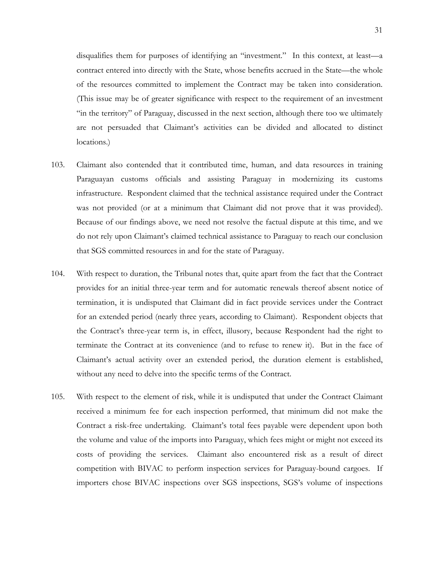disqualifies them for purposes of identifying an "investment." In this context, at least—a contract entered into directly with the State, whose benefits accrued in the State—the whole of the resources committed to implement the Contract may be taken into consideration. (This issue may be of greater significance with respect to the requirement of an investment "in the territory" of Paraguay, discussed in the next section, although there too we ultimately are not persuaded that Claimant's activities can be divided and allocated to distinct locations.)

- 103. Claimant also contended that it contributed time, human, and data resources in training Paraguayan customs officials and assisting Paraguay in modernizing its customs infrastructure. Respondent claimed that the technical assistance required under the Contract was not provided (or at a minimum that Claimant did not prove that it was provided). Because of our findings above, we need not resolve the factual dispute at this time, and we do not rely upon Claimant's claimed technical assistance to Paraguay to reach our conclusion that SGS committed resources in and for the state of Paraguay.
- 104. With respect to duration, the Tribunal notes that, quite apart from the fact that the Contract provides for an initial three-year term and for automatic renewals thereof absent notice of termination, it is undisputed that Claimant did in fact provide services under the Contract for an extended period (nearly three years, according to Claimant). Respondent objects that the Contract's three-year term is, in effect, illusory, because Respondent had the right to terminate the Contract at its convenience (and to refuse to renew it). But in the face of Claimant's actual activity over an extended period, the duration element is established, without any need to delve into the specific terms of the Contract.
- 105. With respect to the element of risk, while it is undisputed that under the Contract Claimant received a minimum fee for each inspection performed, that minimum did not make the Contract a risk-free undertaking. Claimant's total fees payable were dependent upon both the volume and value of the imports into Paraguay, which fees might or might not exceed its costs of providing the services. Claimant also encountered risk as a result of direct competition with BIVAC to perform inspection services for Paraguay-bound cargoes. If importers chose BIVAC inspections over SGS inspections, SGS's volume of inspections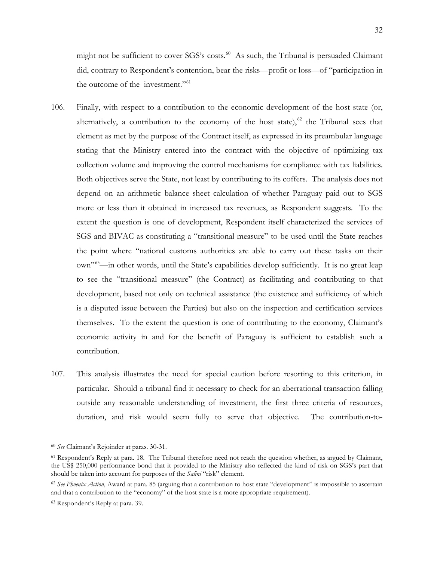might not be sufficient to cover  $SGS's \, \text{costs}$ <sup>.[60](#page-34-0)</sup> As such, the Tribunal is persuaded Claimant did, contrary to Respondent's contention, bear the risks—profit or loss—of "participation in the outcome of the investment."<sup>[61](#page-34-1)</sup>

- 106. Finally, with respect to a contribution to the economic development of the host state (or, alternatively, a contribution to the economy of the host state), $62$  the Tribunal sees that element as met by the purpose of the Contract itself, as expressed in its preambular language stating that the Ministry entered into the contract with the objective of optimizing tax collection volume and improving the control mechanisms for compliance with tax liabilities. Both objectives serve the State, not least by contributing to its coffers. The analysis does not depend on an arithmetic balance sheet calculation of whether Paraguay paid out to SGS more or less than it obtained in increased tax revenues, as Respondent suggests. To the extent the question is one of development, Respondent itself characterized the services of SGS and BIVAC as constituting a "transitional measure" to be used until the State reaches the point where "national customs authorities are able to carry out these tasks on their own"[63—](#page-34-3)in other words, until the State's capabilities develop sufficiently. It is no great leap to see the "transitional measure" (the Contract) as facilitating and contributing to that development, based not only on technical assistance (the existence and sufficiency of which is a disputed issue between the Parties) but also on the inspection and certification services themselves. To the extent the question is one of contributing to the economy, Claimant's economic activity in and for the benefit of Paraguay is sufficient to establish such a contribution.
- 107. This analysis illustrates the need for special caution before resorting to this criterion, in particular. Should a tribunal find it necessary to check for an aberrational transaction falling outside any reasonable understanding of investment, the first three criteria of resources, duration, and risk would seem fully to serve that objective. The contribution-to-

<span id="page-34-0"></span><sup>60</sup> *See* Claimant's Rejoinder at paras. 30-31.

<span id="page-34-1"></span><sup>61</sup> Respondent's Reply at para. 18. The Tribunal therefore need not reach the question whether, as argued by Claimant, the US\$ 250,000 performance bond that it provided to the Ministry also reflected the kind of risk on SGS's part that should be taken into account for purposes of the *Salini* "risk" element.

<span id="page-34-2"></span><sup>62</sup> *See Phoenix Action*, Award at para. 85 (arguing that a contribution to host state "development" is impossible to ascertain and that a contribution to the "economy" of the host state is a more appropriate requirement).

<span id="page-34-3"></span><sup>63</sup> Respondent's Reply at para. 39.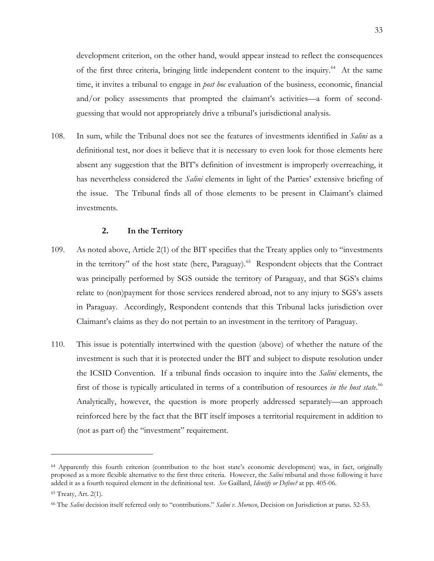development criterion, on the other hand, would appear instead to reflect the consequences of the first three criteria, bringing little independent content to the inquiry.<sup>[64](#page-35-0)</sup> At the same time, it invites a tribunal to engage in *post hoc* evaluation of the business, economic, financial and/or policy assessments that prompted the claimant's activities—a form of secondguessing that would not appropriately drive a tribunal's jurisdictional analysis.

108. In sum, while the Tribunal does not see the features of investments identified in *Salini* as a definitional test, nor does it believe that it is necessary to even look for those elements here absent any suggestion that the BIT's definition of investment is improperly overreaching, it has nevertheless considered the *Salini* elements in light of the Parties' extensive briefing of the issue. The Tribunal finds all of those elements to be present in Claimant's claimed investments.

# **2. In the Territory**

- 109. As noted above, Article 2(1) of the BIT specifies that the Treaty applies only to "investments in the territory" of the host state (here, Paraguay).<sup>65</sup> Respondent objects that the Contract was principally performed by SGS outside the territory of Paraguay, and that SGS's claims relate to (non)payment for those services rendered abroad, not to any injury to SGS's assets in Paraguay. Accordingly, Respondent contends that this Tribunal lacks jurisdiction over Claimant's claims as they do not pertain to an investment in the territory of Paraguay.
- 110. This issue is potentially intertwined with the question (above) of whether the nature of the investment is such that it is protected under the BIT and subject to dispute resolution under the ICSID Convention. If a tribunal finds occasion to inquire into the *Salini* elements, the first of those is typically articulated in terms of a contribution of resources *in the host state*. [66](#page-35-2) Analytically, however, the question is more properly addressed separately—an approach reinforced here by the fact that the BIT itself imposes a territorial requirement in addition to (not as part of) the "investment" requirement.

<span id="page-35-0"></span><sup>64</sup> Apparently this fourth criterion (contribution to the host state's economic development) was, in fact, originally proposed as a more flexible alternative to the first three criteria. However, the *Salini* tribunal and those following it have added it as a fourth required element in the definitional test. *See* Gaillard, *Identify or Define?* at pp. 405-06.

<span id="page-35-1"></span><sup>65</sup> Treaty, Art. 2(1).

<span id="page-35-2"></span><sup>66</sup> The *Salini* decision itself referred only to "contributions." *Salini v. Morocco*, Decision on Jurisdiction at paras. 52-53.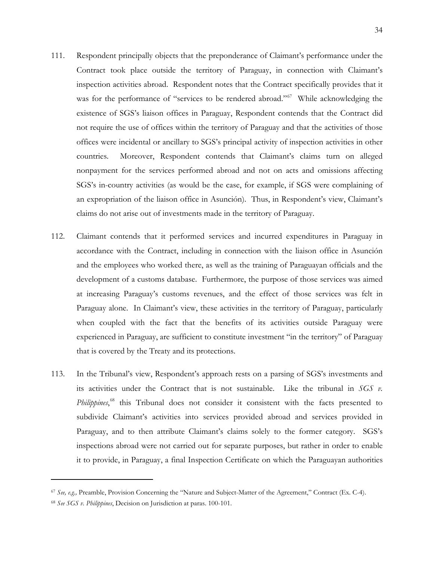- 111. Respondent principally objects that the preponderance of Claimant's performance under the Contract took place outside the territory of Paraguay, in connection with Claimant's inspection activities abroad. Respondent notes that the Contract specifically provides that it was for the performance of "services to be rendered abroad."<sup>67</sup> While acknowledging the existence of SGS's liaison offices in Paraguay, Respondent contends that the Contract did not require the use of offices within the territory of Paraguay and that the activities of those offices were incidental or ancillary to SGS's principal activity of inspection activities in other countries. Moreover, Respondent contends that Claimant's claims turn on alleged nonpayment for the services performed abroad and not on acts and omissions affecting SGS's in-country activities (as would be the case, for example, if SGS were complaining of an expropriation of the liaison office in Asunción). Thus, in Respondent's view, Claimant's claims do not arise out of investments made in the territory of Paraguay.
- 112. Claimant contends that it performed services and incurred expenditures in Paraguay in accordance with the Contract, including in connection with the liaison office in Asunción and the employees who worked there, as well as the training of Paraguayan officials and the development of a customs database. Furthermore, the purpose of those services was aimed at increasing Paraguay's customs revenues, and the effect of those services was felt in Paraguay alone. In Claimant's view, these activities in the territory of Paraguay, particularly when coupled with the fact that the benefits of its activities outside Paraguay were experienced in Paraguay, are sufficient to constitute investment "in the territory" of Paraguay that is covered by the Treaty and its protections.
- 113. In the Tribunal's view, Respondent's approach rests on a parsing of SGS's investments and its activities under the Contract that is not sustainable. Like the tribunal in *SGS v. Philippines*, [68](#page-36-1) this Tribunal does not consider it consistent with the facts presented to subdivide Claimant's activities into services provided abroad and services provided in Paraguay, and to then attribute Claimant's claims solely to the former category. SGS's inspections abroad were not carried out for separate purposes, but rather in order to enable it to provide, in Paraguay, a final Inspection Certificate on which the Paraguayan authorities

<span id="page-36-0"></span><sup>67</sup> *See, e.g.,* Preamble, Provision Concerning the "Nature and Subject-Matter of the Agreement," Contract (Ex. C-4).

<span id="page-36-1"></span><sup>68</sup> *See SGS v. Philippines*, Decision on Jurisdiction at paras. 100-101.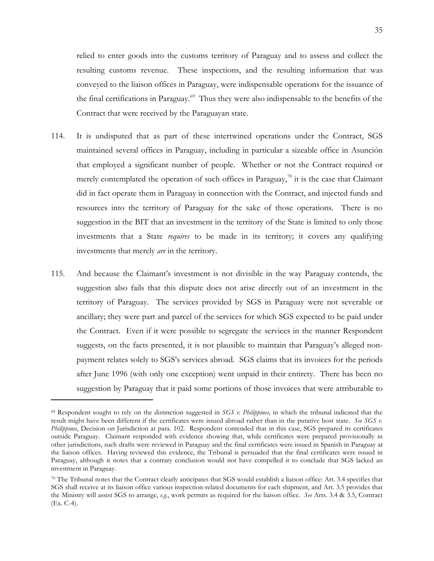relied to enter goods into the customs territory of Paraguay and to assess and collect the resulting customs revenue. These inspections, and the resulting information that was conveyed to the liaison offices in Paraguay, were indispensable operations for the issuance of the final certifications in Paraguay[.69](#page-37-0) Thus they were also indispensable to the benefits of the Contract that were received by the Paraguayan state.

- 114. It is undisputed that as part of these intertwined operations under the Contract, SGS maintained several offices in Paraguay, including in particular a sizeable office in Asunción that employed a significant number of people. Whether or not the Contract required or merely contemplated the operation of such offices in Paraguay,<sup>70</sup> it is the case that Claimant did in fact operate them in Paraguay in connection with the Contract, and injected funds and resources into the territory of Paraguay for the sake of those operations. There is no suggestion in the BIT that an investment in the territory of the State is limited to only those investments that a State *requires* to be made in its territory; it covers any qualifying investments that merely *are* in the territory.
- 115. And because the Claimant's investment is not divisible in the way Paraguay contends, the suggestion also fails that this dispute does not arise directly out of an investment in the territory of Paraguay. The services provided by SGS in Paraguay were not severable or ancillary; they were part and parcel of the services for which SGS expected to be paid under the Contract. Even if it were possible to segregate the services in the manner Respondent suggests, on the facts presented, it is not plausible to maintain that Paraguay's alleged nonpayment relates solely to SGS's services abroad. SGS claims that its invoices for the periods after June 1996 (with only one exception) went unpaid in their entirety. There has been no suggestion by Paraguay that it paid some portions of those invoices that were attributable to

<span id="page-37-0"></span><sup>69</sup> Respondent sought to rely on the distinction suggested in *SGS v. Philippines,* in which the tribunal indicated that the result might have been different if the certificates were issued abroad rather than in the putative host state. *See SGS v. Philippines*, Decision on Jurisdiction at para. 102. Respondent contended that in this case, SGS prepared its certificates outside Paraguay. Claimant responded with evidence showing that, while certificates were prepared provisionally in other jurisdictions, such drafts were reviewed in Paraguay and the final certificates were issued in Spanish in Paraguay at the liaison offices. Having reviewed this evidence, the Tribunal is persuaded that the final certificates were issued in Paraguay, although it notes that a contrary conclusion would not have compelled it to conclude that SGS lacked an investment in Paraguay.

<span id="page-37-1"></span><sup>70</sup> The Tribunal notes that the Contract clearly anticipates that SGS would establish a liaison office: Art. 3.4 specifies that SGS shall receive at its liaison office various inspection-related documents for each shipment, and Art. 3.5 provides that the Ministry will assist SGS to arrange, *e.g.*, work permits as required for the liaison office. *See* Arts. 3.4 & 3.5, Contract (Ex. C-4).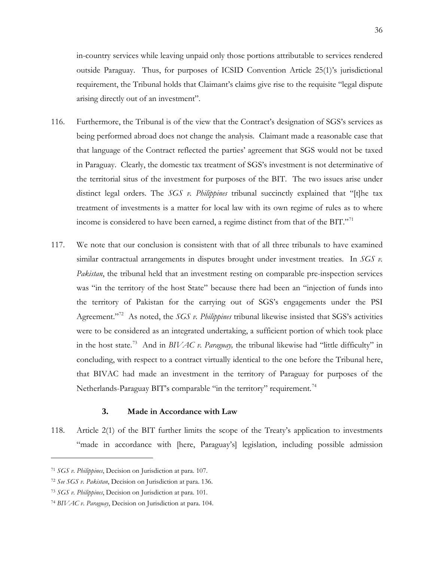in-country services while leaving unpaid only those portions attributable to services rendered outside Paraguay. Thus, for purposes of ICSID Convention Article 25(1)'s jurisdictional requirement, the Tribunal holds that Claimant's claims give rise to the requisite "legal dispute arising directly out of an investment".

- 116. Furthermore, the Tribunal is of the view that the Contract's designation of SGS's services as being performed abroad does not change the analysis. Claimant made a reasonable case that that language of the Contract reflected the parties' agreement that SGS would not be taxed in Paraguay. Clearly, the domestic tax treatment of SGS's investment is not determinative of the territorial situs of the investment for purposes of the BIT. The two issues arise under distinct legal orders. The *SGS v. Philippines* tribunal succinctly explained that "[t]he tax treatment of investments is a matter for local law with its own regime of rules as to where income is considered to have been earned, a regime distinct from that of the BIT."<sup>[71](#page-38-0)</sup>
- 117. We note that our conclusion is consistent with that of all three tribunals to have examined similar contractual arrangements in disputes brought under investment treaties. In *SGS v. Pakistan*, the tribunal held that an investment resting on comparable pre-inspection services was "in the territory of the host State" because there had been an "injection of funds into the territory of Pakistan for the carrying out of SGS's engagements under the PSI Agreement.<sup>"[72](#page-38-1)</sup> As noted, the *SGS v. Philippines* tribunal likewise insisted that SGS's activities were to be considered as an integrated undertaking, a sufficient portion of which took place in the host state.[73](#page-38-2) And in *BIVAC v. Paraguay,* the tribunal likewise had "little difficulty" in concluding, with respect to a contract virtually identical to the one before the Tribunal here, that BIVAC had made an investment in the territory of Paraguay for purposes of the Netherlands-Paraguay BIT's comparable "in the territory" requirement.<sup>[74](#page-38-3)</sup>

### **3. Made in Accordance with Law**

118. Article 2(1) of the BIT further limits the scope of the Treaty's application to investments "made in accordance with [here, Paraguay's] legislation, including possible admission

<span id="page-38-0"></span><sup>71</sup> *SGS v. Philippines*, Decision on Jurisdiction at para. 107.

<span id="page-38-1"></span><sup>72</sup> *See SGS v. Pakistan*, Decision on Jurisdiction at para. 136.

<span id="page-38-2"></span><sup>73</sup> *SGS v. Philippines*, Decision on Jurisdiction at para. 101.

<span id="page-38-3"></span><sup>74</sup> *BIVAC v. Paraguay*, Decision on Jurisdiction at para. 104.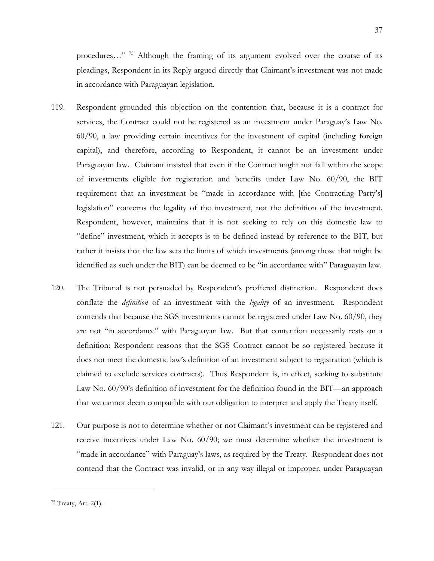procedures..."<sup>[75](#page-39-0)</sup> Although the framing of its argument evolved over the course of its pleadings, Respondent in its Reply argued directly that Claimant's investment was not made in accordance with Paraguayan legislation.

- 119. Respondent grounded this objection on the contention that, because it is a contract for services, the Contract could not be registered as an investment under Paraguay's Law No. 60/90, a law providing certain incentives for the investment of capital (including foreign capital), and therefore, according to Respondent, it cannot be an investment under Paraguayan law. Claimant insisted that even if the Contract might not fall within the scope of investments eligible for registration and benefits under Law No. 60/90, the BIT requirement that an investment be "made in accordance with [the Contracting Party's] legislation" concerns the legality of the investment, not the definition of the investment. Respondent, however, maintains that it is not seeking to rely on this domestic law to "define" investment, which it accepts is to be defined instead by reference to the BIT, but rather it insists that the law sets the limits of which investments (among those that might be identified as such under the BIT) can be deemed to be "in accordance with" Paraguayan law.
- 120. The Tribunal is not persuaded by Respondent's proffered distinction. Respondent does conflate the *definition* of an investment with the *legality* of an investment. Respondent contends that because the SGS investments cannot be registered under Law No. 60/90, they are not "in accordance" with Paraguayan law. But that contention necessarily rests on a definition: Respondent reasons that the SGS Contract cannot be so registered because it does not meet the domestic law's definition of an investment subject to registration (which is claimed to exclude services contracts). Thus Respondent is, in effect, seeking to substitute Law No. 60/90's definition of investment for the definition found in the BIT—an approach that we cannot deem compatible with our obligation to interpret and apply the Treaty itself.
- 121. Our purpose is not to determine whether or not Claimant's investment can be registered and receive incentives under Law No. 60/90; we must determine whether the investment is "made in accordance" with Paraguay's laws, as required by the Treaty. Respondent does not contend that the Contract was invalid, or in any way illegal or improper, under Paraguayan

37

<span id="page-39-0"></span><sup>75</sup> Treaty, Art. 2(1).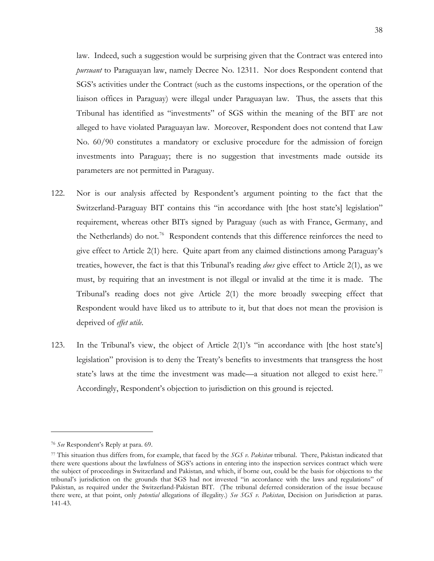law. Indeed, such a suggestion would be surprising given that the Contract was entered into *pursuant* to Paraguayan law, namely Decree No. 12311. Nor does Respondent contend that SGS's activities under the Contract (such as the customs inspections, or the operation of the liaison offices in Paraguay) were illegal under Paraguayan law. Thus, the assets that this Tribunal has identified as "investments" of SGS within the meaning of the BIT are not alleged to have violated Paraguayan law. Moreover, Respondent does not contend that Law No. 60/90 constitutes a mandatory or exclusive procedure for the admission of foreign investments into Paraguay; there is no suggestion that investments made outside its parameters are not permitted in Paraguay.

- 122. Nor is our analysis affected by Respondent's argument pointing to the fact that the Switzerland-Paraguay BIT contains this "in accordance with [the host state's] legislation" requirement, whereas other BITs signed by Paraguay (such as with France, Germany, and the Netherlands) do not.<sup>[76](#page-40-0)</sup> Respondent contends that this difference reinforces the need to give effect to Article 2(1) here. Quite apart from any claimed distinctions among Paraguay's treaties, however, the fact is that this Tribunal's reading *does* give effect to Article 2(1), as we must, by requiring that an investment is not illegal or invalid at the time it is made. The Tribunal's reading does not give Article 2(1) the more broadly sweeping effect that Respondent would have liked us to attribute to it, but that does not mean the provision is deprived of *effet utile*.
- 123. In the Tribunal's view, the object of Article 2(1)'s "in accordance with [the host state's] legislation" provision is to deny the Treaty's benefits to investments that transgress the host state's laws at the time the investment was made—a situation not alleged to exist here.<sup>[77](#page-40-1)</sup> Accordingly, Respondent's objection to jurisdiction on this ground is rejected.

<span id="page-40-0"></span><sup>76</sup> *See* Respondent's Reply at para. 69.

<span id="page-40-1"></span><sup>77</sup> This situation thus differs from, for example, that faced by the *SGS v. Pakistan* tribunal. There, Pakistan indicated that there were questions about the lawfulness of SGS's actions in entering into the inspection services contract which were the subject of proceedings in Switzerland and Pakistan, and which, if borne out, could be the basis for objections to the tribunal's jurisdiction on the grounds that SGS had not invested "in accordance with the laws and regulations" of Pakistan, as required under the Switzerland-Pakistan BIT. (The tribunal deferred consideration of the issue because there were, at that point, only *potential* allegations of illegality.) *See SGS v. Pakistan*, Decision on Jurisdiction at paras. 141-43.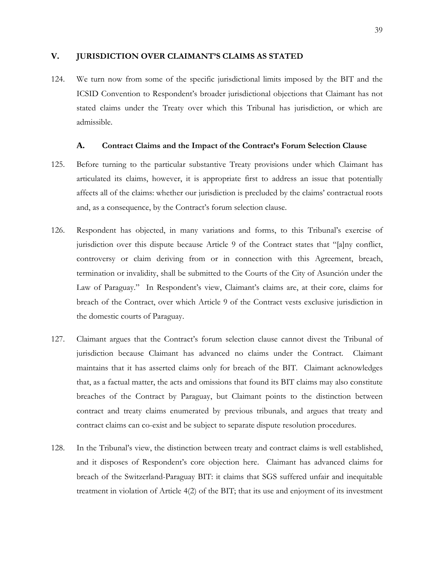### <span id="page-41-0"></span>**V. JURISDICTION OVER CLAIMANT'S CLAIMS AS STATED**

124. We turn now from some of the specific jurisdictional limits imposed by the BIT and the ICSID Convention to Respondent's broader jurisdictional objections that Claimant has not stated claims under the Treaty over which this Tribunal has jurisdiction, or which are admissible.

### **A. Contract Claims and the Impact of the Contract's Forum Selection Clause**

- <span id="page-41-1"></span>125. Before turning to the particular substantive Treaty provisions under which Claimant has articulated its claims, however, it is appropriate first to address an issue that potentially affects all of the claims: whether our jurisdiction is precluded by the claims' contractual roots and, as a consequence, by the Contract's forum selection clause.
- 126. Respondent has objected, in many variations and forms, to this Tribunal's exercise of jurisdiction over this dispute because Article 9 of the Contract states that "[a]ny conflict, controversy or claim deriving from or in connection with this Agreement, breach, termination or invalidity, shall be submitted to the Courts of the City of Asunción under the Law of Paraguay." In Respondent's view, Claimant's claims are, at their core, claims for breach of the Contract, over which Article 9 of the Contract vests exclusive jurisdiction in the domestic courts of Paraguay.
- 127. Claimant argues that the Contract's forum selection clause cannot divest the Tribunal of jurisdiction because Claimant has advanced no claims under the Contract. Claimant maintains that it has asserted claims only for breach of the BIT. Claimant acknowledges that, as a factual matter, the acts and omissions that found its BIT claims may also constitute breaches of the Contract by Paraguay, but Claimant points to the distinction between contract and treaty claims enumerated by previous tribunals, and argues that treaty and contract claims can co-exist and be subject to separate dispute resolution procedures.
- 128. In the Tribunal's view, the distinction between treaty and contract claims is well established, and it disposes of Respondent's core objection here. Claimant has advanced claims for breach of the Switzerland-Paraguay BIT: it claims that SGS suffered unfair and inequitable treatment in violation of Article 4(2) of the BIT; that its use and enjoyment of its investment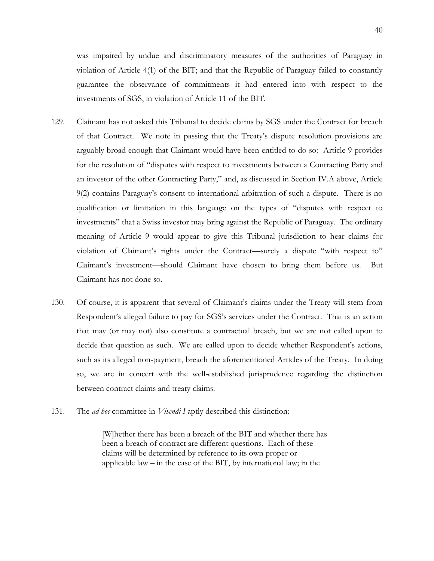was impaired by undue and discriminatory measures of the authorities of Paraguay in violation of Article 4(1) of the BIT; and that the Republic of Paraguay failed to constantly guarantee the observance of commitments it had entered into with respect to the investments of SGS, in violation of Article 11 of the BIT.

- 129. Claimant has not asked this Tribunal to decide claims by SGS under the Contract for breach of that Contract. We note in passing that the Treaty's dispute resolution provisions are arguably broad enough that Claimant would have been entitled to do so: Article 9 provides for the resolution of "disputes with respect to investments between a Contracting Party and an investor of the other Contracting Party," and, as discussed in Section [IV.A](#page-19-2) above, Article 9(2) contains Paraguay's consent to international arbitration of such a dispute. There is no qualification or limitation in this language on the types of "disputes with respect to investments" that a Swiss investor may bring against the Republic of Paraguay. The ordinary meaning of Article 9 would appear to give this Tribunal jurisdiction to hear claims for violation of Claimant's rights under the Contract—surely a dispute "with respect to" Claimant's investment—should Claimant have chosen to bring them before us. But Claimant has not done so.
- 130. Of course, it is apparent that several of Claimant's claims under the Treaty will stem from Respondent's alleged failure to pay for SGS's services under the Contract. That is an action that may (or may not) also constitute a contractual breach, but we are not called upon to decide that question as such. We are called upon to decide whether Respondent's actions, such as its alleged non-payment, breach the aforementioned Articles of the Treaty. In doing so, we are in concert with the well-established jurisprudence regarding the distinction between contract claims and treaty claims.
- 131. The *ad hoc* committee in *Vivendi I* aptly described this distinction:

[W]hether there has been a breach of the BIT and whether there has been a breach of contract are different questions. Each of these claims will be determined by reference to its own proper or applicable law – in the case of the BIT, by international law; in the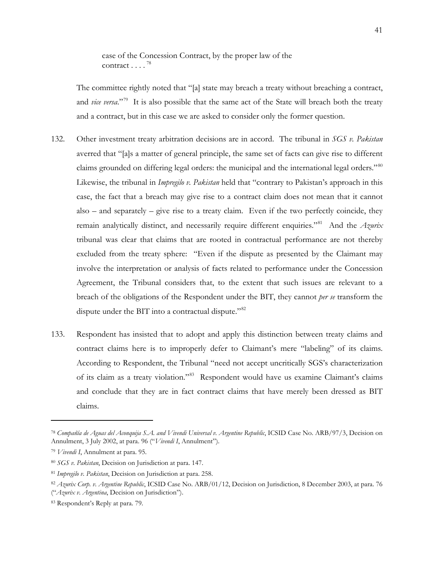case of the Concession Contract, by the proper law of the contract  $\ldots$   $^{78}$  $^{78}$  $^{78}$ 

The committee rightly noted that "[a] state may breach a treaty without breaching a contract, and *vice versa*."<sup>79</sup> It is also possible that the same act of the State will breach both the treaty and a contract, but in this case we are asked to consider only the former question.

- 132. Other investment treaty arbitration decisions are in accord. The tribunal in *SGS v. Pakistan*  averred that "[a]s a matter of general principle, the same set of facts can give rise to different claims grounded on differing legal orders: the municipal and the international legal orders."<sup>[80](#page-43-2)</sup> Likewise, the tribunal in *Impregilo v. Pakistan* held that "contrary to Pakistan's approach in this case, the fact that a breach may give rise to a contract claim does not mean that it cannot also – and separately – give rise to a treaty claim. Even if the two perfectly coincide, they remain analytically distinct, and necessarily require different enquiries.["81](#page-43-3) And the *Azurix* tribunal was clear that claims that are rooted in contractual performance are not thereby excluded from the treaty sphere: "Even if the dispute as presented by the Claimant may involve the interpretation or analysis of facts related to performance under the Concession Agreement, the Tribunal considers that, to the extent that such issues are relevant to a breach of the obligations of the Respondent under the BIT, they cannot *per se* transform the dispute under the BIT into a contractual dispute."<sup>82</sup>
- 133. Respondent has insisted that to adopt and apply this distinction between treaty claims and contract claims here is to improperly defer to Claimant's mere "labeling" of its claims. According to Respondent, the Tribunal "need not accept uncritically SGS's characterization of its claim as a treaty violation."<sup>83</sup> Respondent would have us examine Claimant's claims and conclude that they are in fact contract claims that have merely been dressed as BIT claims.

<span id="page-43-0"></span><sup>78</sup> *Compañía de Aguas del Aconquija S.A. and Vivendi Universal v. Argentine Republic*, ICSID Case No. ARB/97/3, Decision on Annulment, 3 July 2002, at para. 96 ("*Vivendi I*, Annulment").

<span id="page-43-1"></span><sup>79</sup> *Vivendi I*, Annulment at para. 95.

<span id="page-43-2"></span><sup>80</sup> *SGS v. Pakistan*, Decision on Jurisdiction at para. 147.

<span id="page-43-3"></span><sup>81</sup> *Impregilo v. Pakistan*, Decision on Jurisdiction at para. 258.

<span id="page-43-4"></span><sup>82</sup> *Azurix Corp. v. Argentine Republic*, ICSID Case No. ARB/01/12, Decision on Jurisdiction, 8 December 2003, at para. 76 ("*Azurix v. Argentina*, Decision on Jurisdiction").

<span id="page-43-5"></span><sup>83</sup> Respondent's Reply at para. 79.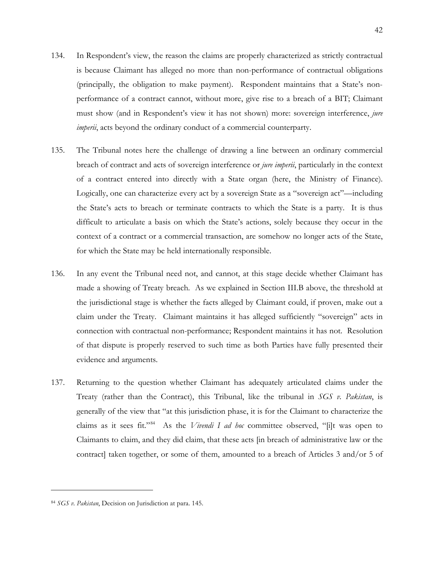- 134. In Respondent's view, the reason the claims are properly characterized as strictly contractual is because Claimant has alleged no more than non-performance of contractual obligations (principally, the obligation to make payment). Respondent maintains that a State's nonperformance of a contract cannot, without more, give rise to a breach of a BIT; Claimant must show (and in Respondent's view it has not shown) more: sovereign interference, *jure imperii*, acts beyond the ordinary conduct of a commercial counterparty.
- 135. The Tribunal notes here the challenge of drawing a line between an ordinary commercial breach of contract and acts of sovereign interference or *jure imperii*, particularly in the context of a contract entered into directly with a State organ (here, the Ministry of Finance). Logically, one can characterize every act by a sovereign State as a "sovereign act"—including the State's acts to breach or terminate contracts to which the State is a party. It is thus difficult to articulate a basis on which the State's actions, solely because they occur in the context of a contract or a commercial transaction, are somehow no longer acts of the State, for which the State may be held internationally responsible.
- 136. In any event the Tribunal need not, and cannot, at this stage decide whether Claimant has made a showing of Treaty breach. As we explained in Section [III.B](#page-12-3) above, the threshold at the jurisdictional stage is whether the facts alleged by Claimant could, if proven, make out a claim under the Treaty. Claimant maintains it has alleged sufficiently "sovereign" acts in connection with contractual non-performance; Respondent maintains it has not. Resolution of that dispute is properly reserved to such time as both Parties have fully presented their evidence and arguments.
- 137. Returning to the question whether Claimant has adequately articulated claims under the Treaty (rather than the Contract), this Tribunal, like the tribunal in *SGS v. Pakistan*, is generally of the view that "at this jurisdiction phase, it is for the Claimant to characterize the claims as it sees fit."[84](#page-44-0) As the *Vivendi I ad hoc* committee observed, "[i]t was open to Claimants to claim, and they did claim, that these acts [in breach of administrative law or the contract] taken together, or some of them, amounted to a breach of Articles 3 and/or 5 of

<span id="page-44-0"></span><sup>84</sup> *SGS v. Pakistan*, Decision on Jurisdiction at para. 145.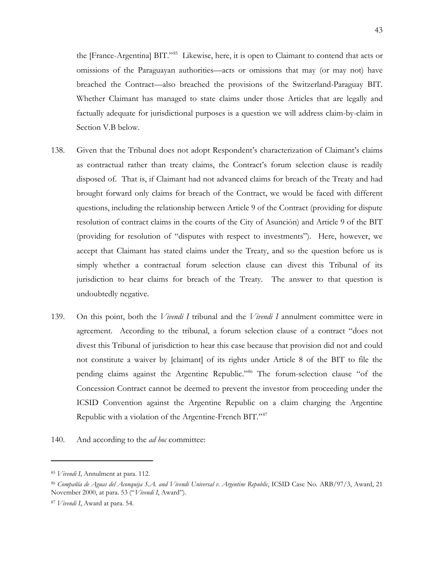the [France-Argentina] BIT."<sup>85</sup> Likewise, here, it is open to Claimant to contend that acts or omissions of the Paraguayan authorities—acts or omissions that may (or may not) have breached the Contract—also breached the provisions of the Switzerland-Paraguay BIT. Whether Claimant has managed to state claims under those Articles that are legally and factually adequate for jurisdictional purposes is a question we will address claim-by-claim in Section [V.B](#page-47-0) below.

- 138. Given that the Tribunal does not adopt Respondent's characterization of Claimant's claims as contractual rather than treaty claims, the Contract's forum selection clause is readily disposed of. That is, if Claimant had not advanced claims for breach of the Treaty and had brought forward only claims for breach of the Contract, we would be faced with different questions, including the relationship between Article 9 of the Contract (providing for dispute resolution of contract claims in the courts of the City of Asunción) and Article 9 of the BIT (providing for resolution of "disputes with respect to investments"). Here, however, we accept that Claimant has stated claims under the Treaty, and so the question before us is simply whether a contractual forum selection clause can divest this Tribunal of its jurisdiction to hear claims for breach of the Treaty. The answer to that question is undoubtedly negative.
- 139. On this point, both the *Vivendi I* tribunal and the *Vivendi I* annulment committee were in agreement. According to the tribunal, a forum selection clause of a contract "does not divest this Tribunal of jurisdiction to hear this case because that provision did not and could not constitute a waiver by [claimant] of its rights under Article 8 of the BIT to file the pending claims against the Argentine Republic."[86](#page-45-1) The forum-selection clause "of the Concession Contract cannot be deemed to prevent the investor from proceeding under the ICSID Convention against the Argentine Republic on a claim charging the Argentine Republic with a violation of the Argentine-French BIT."<sup>[87](#page-45-2)</sup>
- 140. And according to the *ad hoc* committee:

<span id="page-45-0"></span><sup>85</sup> *Vivendi I*, Annulment at para. 112.

<span id="page-45-1"></span><sup>86</sup> *Compañía de Aguas del Aconquija S.A. and Vivendi Universal v. Argentine Republic*, ICSID Case No. ARB/97/3, Award, 21 November 2000, at para. 53 ("*Vivendi I*, Award").

<span id="page-45-2"></span><sup>87</sup> *Vivendi I*, Award at para. 54.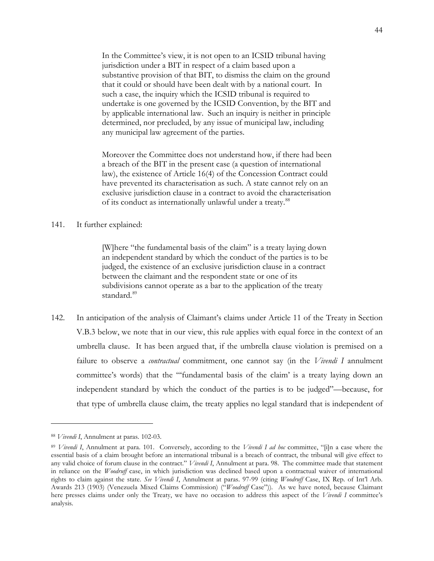In the Committee's view, it is not open to an ICSID tribunal having jurisdiction under a BIT in respect of a claim based upon a substantive provision of that BIT, to dismiss the claim on the ground that it could or should have been dealt with by a national court. In such a case, the inquiry which the ICSID tribunal is required to undertake is one governed by the ICSID Convention, by the BIT and by applicable international law. Such an inquiry is neither in principle determined, nor precluded, by any issue of municipal law, including any municipal law agreement of the parties.

Moreover the Committee does not understand how, if there had been a breach of the BIT in the present case (a question of international law), the existence of Article 16(4) of the Concession Contract could have prevented its characterisation as such. A state cannot rely on an exclusive jurisdiction clause in a contract to avoid the characterisation of its conduct as internationally unlawful under a treaty.<sup>[88](#page-46-0)</sup>

#### 141. It further explained:

[W]here "the fundamental basis of the claim" is a treaty laying down an independent standard by which the conduct of the parties is to be judged, the existence of an exclusive jurisdiction clause in a contract between the claimant and the respondent state or one of its subdivisions cannot operate as a bar to the application of the treaty standard.<sup>[89](#page-46-1)</sup>

<span id="page-46-2"></span>142. In anticipation of the analysis of Claimant's claims under Article 11 of the Treaty in Section [V.B.3](#page-52-0) below, we note that in our view, this rule applies with equal force in the context of an umbrella clause. It has been argued that, if the umbrella clause violation is premised on a failure to observe a *contractual* commitment, one cannot say (in the *Vivendi I* annulment committee's words) that the "'fundamental basis of the claim' is a treaty laying down an independent standard by which the conduct of the parties is to be judged"—because, for that type of umbrella clause claim, the treaty applies no legal standard that is independent of

<span id="page-46-0"></span><sup>88</sup> *Vivendi I*, Annulment at paras. 102-03.

<span id="page-46-1"></span><sup>89</sup> *Vivendi I*, Annulment at para. 101. Conversely, according to the *Vivendi I ad hoc* committee, "[i]n a case where the essential basis of a claim brought before an international tribunal is a breach of contract, the tribunal will give effect to any valid choice of forum clause in the contract." *Vivendi I*, Annulment at para. 98. The committee made that statement in reliance on the *Woodruff* case, in which jurisdiction was declined based upon a contractual waiver of international rights to claim against the state. *See Vivendi I*, Annulment at paras. 97-99 (citing *Woodruff* Case, IX Rep. of Int'l Arb. Awards 213 (1903) (Venezuela Mixed Claims Commission) ("*Woodruff* Case")). As we have noted, because Claimant here presses claims under only the Treaty, we have no occasion to address this aspect of the *Vivendi I* committee's analysis.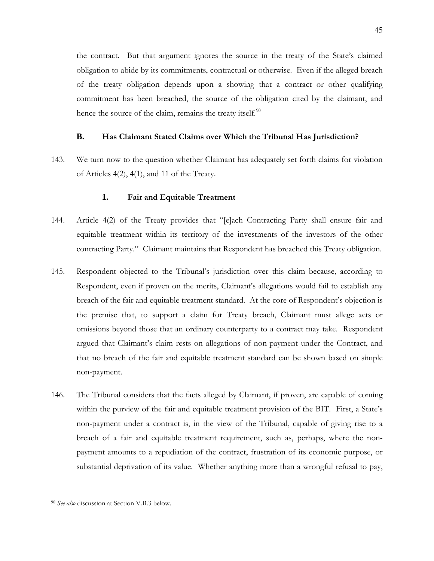the contract. But that argument ignores the source in the treaty of the State's claimed obligation to abide by its commitments, contractual or otherwise. Even if the alleged breach of the treaty obligation depends upon a showing that a contract or other qualifying commitment has been breached, the source of the obligation cited by the claimant, and hence the source of the claim, remains the treaty itself. $90$ 

# **B. Has Claimant Stated Claims over Which the Tribunal Has Jurisdiction?**

<span id="page-47-0"></span>143. We turn now to the question whether Claimant has adequately set forth claims for violation of Articles 4(2), 4(1), and 11 of the Treaty.

#### **1. Fair and Equitable Treatment**

- 144. Article 4(2) of the Treaty provides that "[e]ach Contracting Party shall ensure fair and equitable treatment within its territory of the investments of the investors of the other contracting Party." Claimant maintains that Respondent has breached this Treaty obligation.
- 145. Respondent objected to the Tribunal's jurisdiction over this claim because, according to Respondent, even if proven on the merits, Claimant's allegations would fail to establish any breach of the fair and equitable treatment standard. At the core of Respondent's objection is the premise that, to support a claim for Treaty breach, Claimant must allege acts or omissions beyond those that an ordinary counterparty to a contract may take. Respondent argued that Claimant's claim rests on allegations of non-payment under the Contract, and that no breach of the fair and equitable treatment standard can be shown based on simple non-payment.
- 146. The Tribunal considers that the facts alleged by Claimant, if proven, are capable of coming within the purview of the fair and equitable treatment provision of the BIT. First, a State's non-payment under a contract is, in the view of the Tribunal, capable of giving rise to a breach of a fair and equitable treatment requirement, such as, perhaps, where the nonpayment amounts to a repudiation of the contract, frustration of its economic purpose, or substantial deprivation of its value. Whether anything more than a wrongful refusal to pay,

<span id="page-47-1"></span><sup>90</sup> *See also* discussion at Section [V.B.3](#page-52-0) below.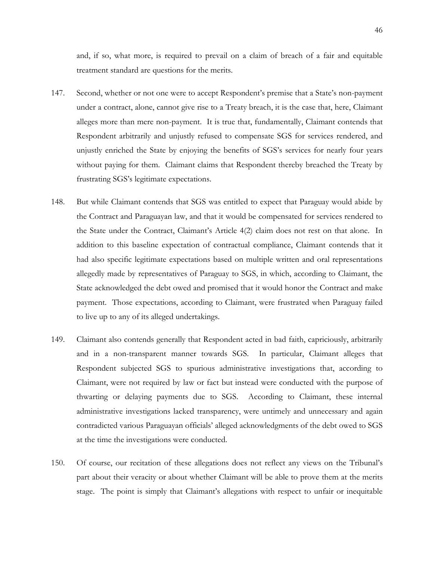and, if so, what more, is required to prevail on a claim of breach of a fair and equitable treatment standard are questions for the merits.

- 147. Second, whether or not one were to accept Respondent's premise that a State's non-payment under a contract, alone, cannot give rise to a Treaty breach, it is the case that, here, Claimant alleges more than mere non-payment. It is true that, fundamentally, Claimant contends that Respondent arbitrarily and unjustly refused to compensate SGS for services rendered, and unjustly enriched the State by enjoying the benefits of SGS's services for nearly four years without paying for them. Claimant claims that Respondent thereby breached the Treaty by frustrating SGS's legitimate expectations.
- 148. But while Claimant contends that SGS was entitled to expect that Paraguay would abide by the Contract and Paraguayan law, and that it would be compensated for services rendered to the State under the Contract, Claimant's Article 4(2) claim does not rest on that alone. In addition to this baseline expectation of contractual compliance, Claimant contends that it had also specific legitimate expectations based on multiple written and oral representations allegedly made by representatives of Paraguay to SGS, in which, according to Claimant, the State acknowledged the debt owed and promised that it would honor the Contract and make payment. Those expectations, according to Claimant, were frustrated when Paraguay failed to live up to any of its alleged undertakings.
- 149. Claimant also contends generally that Respondent acted in bad faith, capriciously, arbitrarily and in a non-transparent manner towards SGS. In particular, Claimant alleges that Respondent subjected SGS to spurious administrative investigations that, according to Claimant, were not required by law or fact but instead were conducted with the purpose of thwarting or delaying payments due to SGS. According to Claimant, these internal administrative investigations lacked transparency, were untimely and unnecessary and again contradicted various Paraguayan officials' alleged acknowledgments of the debt owed to SGS at the time the investigations were conducted.
- 150. Of course, our recitation of these allegations does not reflect any views on the Tribunal's part about their veracity or about whether Claimant will be able to prove them at the merits stage. The point is simply that Claimant's allegations with respect to unfair or inequitable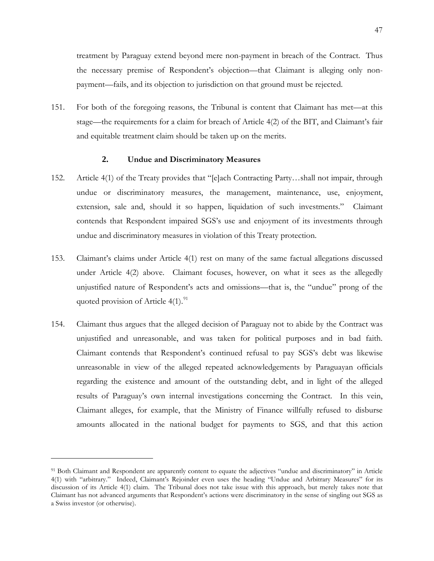treatment by Paraguay extend beyond mere non-payment in breach of the Contract. Thus the necessary premise of Respondent's objection—that Claimant is alleging only nonpayment—fails, and its objection to jurisdiction on that ground must be rejected.

151. For both of the foregoing reasons, the Tribunal is content that Claimant has met—at this stage—the requirements for a claim for breach of Article 4(2) of the BIT, and Claimant's fair and equitable treatment claim should be taken up on the merits.

# **2. Undue and Discriminatory Measures**

- 152. Article 4(1) of the Treaty provides that "[e]ach Contracting Party…shall not impair, through undue or discriminatory measures, the management, maintenance, use, enjoyment, extension, sale and, should it so happen, liquidation of such investments." Claimant contends that Respondent impaired SGS's use and enjoyment of its investments through undue and discriminatory measures in violation of this Treaty protection.
- 153. Claimant's claims under Article 4(1) rest on many of the same factual allegations discussed under Article 4(2) above. Claimant focuses, however, on what it sees as the allegedly unjustified nature of Respondent's acts and omissions—that is, the "undue" prong of the quoted provision of Article  $4(1).^{91}$  $4(1).^{91}$  $4(1).^{91}$
- 154. Claimant thus argues that the alleged decision of Paraguay not to abide by the Contract was unjustified and unreasonable, and was taken for political purposes and in bad faith. Claimant contends that Respondent's continued refusal to pay SGS's debt was likewise unreasonable in view of the alleged repeated acknowledgements by Paraguayan officials regarding the existence and amount of the outstanding debt, and in light of the alleged results of Paraguay's own internal investigations concerning the Contract. In this vein, Claimant alleges, for example, that the Ministry of Finance willfully refused to disburse amounts allocated in the national budget for payments to SGS, and that this action

<span id="page-49-0"></span><sup>91</sup> Both Claimant and Respondent are apparently content to equate the adjectives "undue and discriminatory" in Article 4(1) with "arbitrary." Indeed, Claimant's Rejoinder even uses the heading "Undue and Arbitrary Measures" for its discussion of its Article 4(1) claim. The Tribunal does not take issue with this approach, but merely takes note that Claimant has not advanced arguments that Respondent's actions were discriminatory in the sense of singling out SGS as a Swiss investor (or otherwise).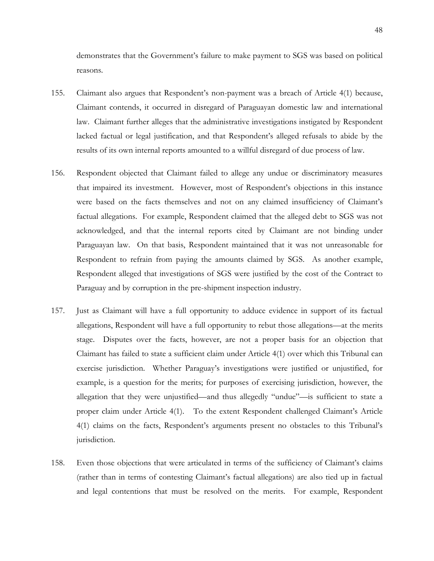demonstrates that the Government's failure to make payment to SGS was based on political reasons.

- 155. Claimant also argues that Respondent's non-payment was a breach of Article 4(1) because, Claimant contends, it occurred in disregard of Paraguayan domestic law and international law. Claimant further alleges that the administrative investigations instigated by Respondent lacked factual or legal justification, and that Respondent's alleged refusals to abide by the results of its own internal reports amounted to a willful disregard of due process of law.
- 156. Respondent objected that Claimant failed to allege any undue or discriminatory measures that impaired its investment. However, most of Respondent's objections in this instance were based on the facts themselves and not on any claimed insufficiency of Claimant's factual allegations. For example, Respondent claimed that the alleged debt to SGS was not acknowledged, and that the internal reports cited by Claimant are not binding under Paraguayan law. On that basis, Respondent maintained that it was not unreasonable for Respondent to refrain from paying the amounts claimed by SGS. As another example, Respondent alleged that investigations of SGS were justified by the cost of the Contract to Paraguay and by corruption in the pre-shipment inspection industry.
- 157. Just as Claimant will have a full opportunity to adduce evidence in support of its factual allegations, Respondent will have a full opportunity to rebut those allegations—at the merits stage. Disputes over the facts, however, are not a proper basis for an objection that Claimant has failed to state a sufficient claim under Article 4(1) over which this Tribunal can exercise jurisdiction. Whether Paraguay's investigations were justified or unjustified, for example, is a question for the merits; for purposes of exercising jurisdiction, however, the allegation that they were unjustified—and thus allegedly "undue"—is sufficient to state a proper claim under Article 4(1). To the extent Respondent challenged Claimant's Article 4(1) claims on the facts, Respondent's arguments present no obstacles to this Tribunal's jurisdiction.
- 158. Even those objections that were articulated in terms of the sufficiency of Claimant's claims (rather than in terms of contesting Claimant's factual allegations) are also tied up in factual and legal contentions that must be resolved on the merits. For example, Respondent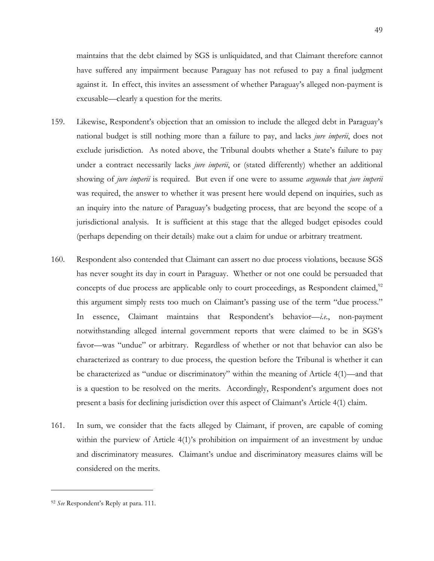maintains that the debt claimed by SGS is unliquidated, and that Claimant therefore cannot have suffered any impairment because Paraguay has not refused to pay a final judgment against it. In effect, this invites an assessment of whether Paraguay's alleged non-payment is excusable—clearly a question for the merits.

- 159. Likewise, Respondent's objection that an omission to include the alleged debt in Paraguay's national budget is still nothing more than a failure to pay, and lacks *jure imperii*, does not exclude jurisdiction. As noted above, the Tribunal doubts whether a State's failure to pay under a contract necessarily lacks *jure imperii*, or (stated differently) whether an additional showing of *jure imperii* is required. But even if one were to assume *arguendo* that *jure imperii* was required, the answer to whether it was present here would depend on inquiries, such as an inquiry into the nature of Paraguay's budgeting process, that are beyond the scope of a jurisdictional analysis. It is sufficient at this stage that the alleged budget episodes could (perhaps depending on their details) make out a claim for undue or arbitrary treatment.
- 160. Respondent also contended that Claimant can assert no due process violations, because SGS has never sought its day in court in Paraguay. Whether or not one could be persuaded that concepts of due process are applicable only to court proceedings, as Respondent claimed, $92$ this argument simply rests too much on Claimant's passing use of the term "due process." In essence, Claimant maintains that Respondent's behavior—*i.e.*, non-payment notwithstanding alleged internal government reports that were claimed to be in SGS's favor—was "undue" or arbitrary. Regardless of whether or not that behavior can also be characterized as contrary to due process, the question before the Tribunal is whether it can be characterized as "undue or discriminatory" within the meaning of Article 4(1)—and that is a question to be resolved on the merits. Accordingly, Respondent's argument does not present a basis for declining jurisdiction over this aspect of Claimant's Article 4(1) claim.
- 161. In sum, we consider that the facts alleged by Claimant, if proven, are capable of coming within the purview of Article 4(1)'s prohibition on impairment of an investment by undue and discriminatory measures. Claimant's undue and discriminatory measures claims will be considered on the merits.

<span id="page-51-0"></span><sup>92</sup> *See* Respondent's Reply at para. 111.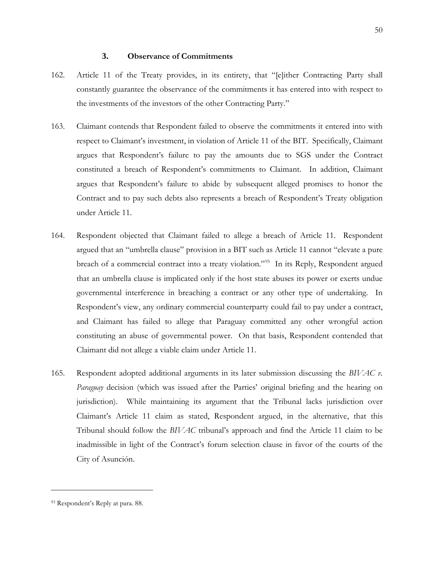# **3. Observance of Commitments**

- <span id="page-52-0"></span>162. Article 11 of the Treaty provides, in its entirety, that "[e]ither Contracting Party shall constantly guarantee the observance of the commitments it has entered into with respect to the investments of the investors of the other Contracting Party."
- 163. Claimant contends that Respondent failed to observe the commitments it entered into with respect to Claimant's investment, in violation of Article 11 of the BIT. Specifically, Claimant argues that Respondent's failure to pay the amounts due to SGS under the Contract constituted a breach of Respondent's commitments to Claimant. In addition, Claimant argues that Respondent's failure to abide by subsequent alleged promises to honor the Contract and to pay such debts also represents a breach of Respondent's Treaty obligation under Article 11.
- 164. Respondent objected that Claimant failed to allege a breach of Article 11. Respondent argued that an "umbrella clause" provision in a BIT such as Article 11 cannot "elevate a pure breach of a commercial contract into a treaty violation."<sup>93</sup> In its Reply, Respondent argued that an umbrella clause is implicated only if the host state abuses its power or exerts undue governmental interference in breaching a contract or any other type of undertaking. In Respondent's view, any ordinary commercial counterparty could fail to pay under a contract, and Claimant has failed to allege that Paraguay committed any other wrongful action constituting an abuse of governmental power. On that basis, Respondent contended that Claimant did not allege a viable claim under Article 11.
- 165. Respondent adopted additional arguments in its later submission discussing the *BIVAC v. Paraguay* decision (which was issued after the Parties' original briefing and the hearing on jurisdiction). While maintaining its argument that the Tribunal lacks jurisdiction over Claimant's Article 11 claim as stated, Respondent argued, in the alternative, that this Tribunal should follow the *BIVAC* tribunal's approach and find the Article 11 claim to be inadmissible in light of the Contract's forum selection clause in favor of the courts of the City of Asunción.

<span id="page-52-1"></span><sup>93</sup> Respondent's Reply at para. 88.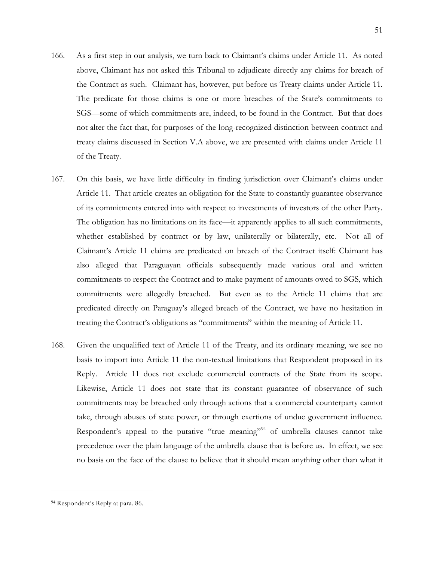- 166. As a first step in our analysis, we turn back to Claimant's claims under Article 11. As noted above, Claimant has not asked this Tribunal to adjudicate directly any claims for breach of the Contract as such. Claimant has, however, put before us Treaty claims under Article 11. The predicate for those claims is one or more breaches of the State's commitments to SGS—some of which commitments are, indeed, to be found in the Contract. But that does not alter the fact that, for purposes of the long-recognized distinction between contract and treaty claims discussed in Section [V.A](#page-41-1) above, we are presented with claims under Article 11 of the Treaty.
- 167. On this basis, we have little difficulty in finding jurisdiction over Claimant's claims under Article 11. That article creates an obligation for the State to constantly guarantee observance of its commitments entered into with respect to investments of investors of the other Party. The obligation has no limitations on its face—it apparently applies to all such commitments, whether established by contract or by law, unilaterally or bilaterally, etc. Not all of Claimant's Article 11 claims are predicated on breach of the Contract itself: Claimant has also alleged that Paraguayan officials subsequently made various oral and written commitments to respect the Contract and to make payment of amounts owed to SGS, which commitments were allegedly breached. But even as to the Article 11 claims that are predicated directly on Paraguay's alleged breach of the Contract, we have no hesitation in treating the Contract's obligations as "commitments" within the meaning of Article 11.
- 168. Given the unqualified text of Article 11 of the Treaty, and its ordinary meaning, we see no basis to import into Article 11 the non-textual limitations that Respondent proposed in its Reply. Article 11 does not exclude commercial contracts of the State from its scope. Likewise, Article 11 does not state that its constant guarantee of observance of such commitments may be breached only through actions that a commercial counterparty cannot take, through abuses of state power, or through exertions of undue government influence. Respondent's appeal to the putative "true meaning"<sup>[94](#page-53-0)</sup> of umbrella clauses cannot take precedence over the plain language of the umbrella clause that is before us. In effect, we see no basis on the face of the clause to believe that it should mean anything other than what it

<span id="page-53-0"></span><sup>94</sup> Respondent's Reply at para. 86.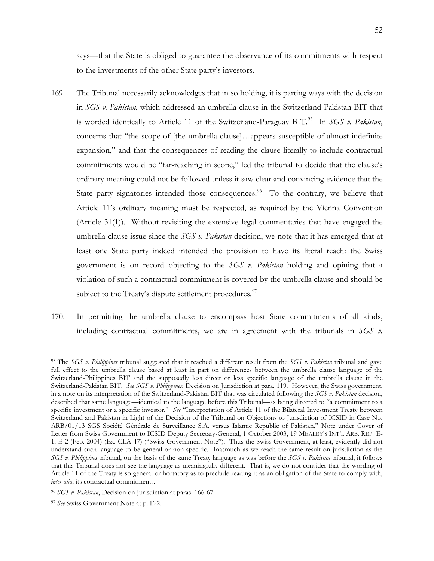says—that the State is obliged to guarantee the observance of its commitments with respect to the investments of the other State party's investors.

- 169. The Tribunal necessarily acknowledges that in so holding, it is parting ways with the decision in *SGS v. Pakistan*, which addressed an umbrella clause in the Switzerland-Pakistan BIT that is worded identically to Article 11 of the Switzerland-Paraguay BIT.<sup>95</sup> In *SGS v. Pakistan*, concerns that "the scope of [the umbrella clause]…appears susceptible of almost indefinite expansion," and that the consequences of reading the clause literally to include contractual commitments would be "far-reaching in scope," led the tribunal to decide that the clause's ordinary meaning could not be followed unless it saw clear and convincing evidence that the State party signatories intended those consequences.<sup>[96](#page-54-1)</sup> To the contrary, we believe that Article 11's ordinary meaning must be respected, as required by the Vienna Convention (Article 31(1)). Without revisiting the extensive legal commentaries that have engaged the umbrella clause issue since the *SGS v. Pakistan* decision, we note that it has emerged that at least one State party indeed intended the provision to have its literal reach: the Swiss government is on record objecting to the *SGS v. Pakistan* holding and opining that a violation of such a contractual commitment is covered by the umbrella clause and should be subject to the Treaty's dispute settlement procedures. $97$
- 170. In permitting the umbrella clause to encompass host State commitments of all kinds, including contractual commitments, we are in agreement with the tribunals in *SGS v.*

<span id="page-54-0"></span><sup>95</sup> The *SGS v. Philippines* tribunal suggested that it reached a different result from the *SGS v. Pakistan* tribunal and gave full effect to the umbrella clause based at least in part on differences between the umbrella clause language of the Switzerland-Philippines BIT and the supposedly less direct or less specific language of the umbrella clause in the Switzerland-Pakistan BIT. *See SGS v. Philippines*, Decision on Jurisdiction at para. 119. However, the Swiss government, in a note on its interpretation of the Switzerland-Pakistan BIT that was circulated following the *SGS v. Pakistan* decision, described that same language—identical to the language before this Tribunal—as being directed to "a commitment to a specific investment or a specific investor." *See* "Interpretation of Article 11 of the Bilateral Investment Treaty between Switzerland and Pakistan in Light of the Decision of the Tribunal on Objections to Jurisdiction of ICSID in Case No. ARB/01/13 SGS Société Générale de Surveillance S.A. versus Islamic Republic of Pakistan," Note under Cover of Letter from Swiss Government to ICSID Deputy Secretary-General, 1 October 2003, 19 MEALEY'S INT'L ARB. REP. E-1, E-2 (Feb. 2004) (Ex. CLA-47) ("Swiss Government Note"). Thus the Swiss Government, at least, evidently did not understand such language to be general or non-specific. Inasmuch as we reach the same result on jurisdiction as the *SGS v. Philippines* tribunal, on the basis of the same Treaty language as was before the *SGS v. Pakistan* tribunal, it follows that this Tribunal does not see the language as meaningfully different. That is, we do not consider that the wording of Article 11 of the Treaty is so general or hortatory as to preclude reading it as an obligation of the State to comply with, *inter alia*, its contractual commitments.

<span id="page-54-1"></span><sup>96</sup> *SGS v. Pakistan*, Decision on Jurisdiction at paras. 166-67.

<span id="page-54-2"></span><sup>97</sup> *See* Swiss Government Note at p. E-2.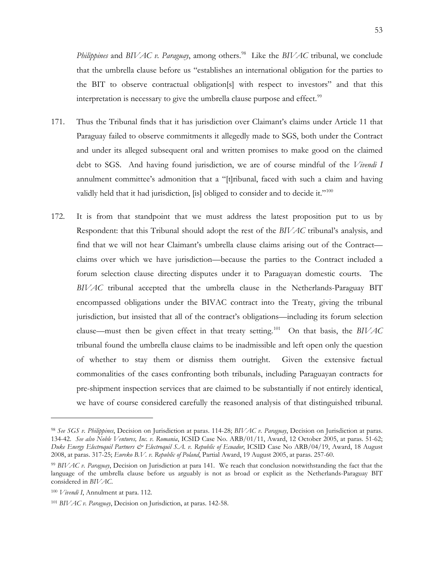*Philippines* and *BIVAC v. Paraguay*, among others.<sup>[98](#page-55-0)</sup> Like the *BIVAC* tribunal, we conclude that the umbrella clause before us "establishes an international obligation for the parties to the BIT to observe contractual obligation[s] with respect to investors" and that this interpretation is necessary to give the umbrella clause purpose and effect.<sup>[99](#page-55-1)</sup>

- 171. Thus the Tribunal finds that it has jurisdiction over Claimant's claims under Article 11 that Paraguay failed to observe commitments it allegedly made to SGS, both under the Contract and under its alleged subsequent oral and written promises to make good on the claimed debt to SGS. And having found jurisdiction, we are of course mindful of the *Vivendi I*  annulment committee's admonition that a "[t]ribunal, faced with such a claim and having validly held that it had jurisdiction, [is] obliged to consider and to decide it."<sup>[100](#page-55-2)</sup>
- 172. It is from that standpoint that we must address the latest proposition put to us by Respondent: that this Tribunal should adopt the rest of the *BIVAC* tribunal's analysis, and find that we will not hear Claimant's umbrella clause claims arising out of the Contract claims over which we have jurisdiction—because the parties to the Contract included a forum selection clause directing disputes under it to Paraguayan domestic courts. The *BIVAC* tribunal accepted that the umbrella clause in the Netherlands-Paraguay BIT encompassed obligations under the BIVAC contract into the Treaty, giving the tribunal jurisdiction, but insisted that all of the contract's obligations—including its forum selection clause—must then be given effect in that treaty setting.[101](#page-55-3) On that basis, the *BIVAC*  tribunal found the umbrella clause claims to be inadmissible and left open only the question of whether to stay them or dismiss them outright. Given the extensive factual commonalities of the cases confronting both tribunals, including Paraguayan contracts for pre-shipment inspection services that are claimed to be substantially if not entirely identical, we have of course considered carefully the reasoned analysis of that distinguished tribunal.

<span id="page-55-0"></span><sup>98</sup> *See SGS v. Philippines*, Decision on Jurisdiction at paras. 114-28; *BIVAC v. Paraguay*, Decision on Jurisdiction at paras. 134-42. *See also Noble Ventures, Inc. v. Romania*, ICSID Case No. ARB/01/11, Award, 12 October 2005, at paras. 51-62; *Duke Energy Electroquil Partners & Electroquil S.A. v. Republic of Ecuador*, ICSID Case No ARB/04/19, Award, 18 August 2008, at paras. 317-25; *Eureko B.V. v. Republic of Poland*, Partial Award, 19 August 2005, at paras. 257-60.

<span id="page-55-1"></span><sup>99</sup> *BIVAC v. Paraguay*, Decision on Jurisdiction at para 141. We reach that conclusion notwithstanding the fact that the language of the umbrella clause before us arguably is not as broad or explicit as the Netherlands-Paraguay BIT considered in *BIVAC*.

<span id="page-55-2"></span><sup>100</sup> *Vivendi I*, Annulment at para. 112.

<span id="page-55-3"></span><sup>101</sup> *BIVAC v. Paraguay*, Decision on Jurisdiction, at paras. 142-58.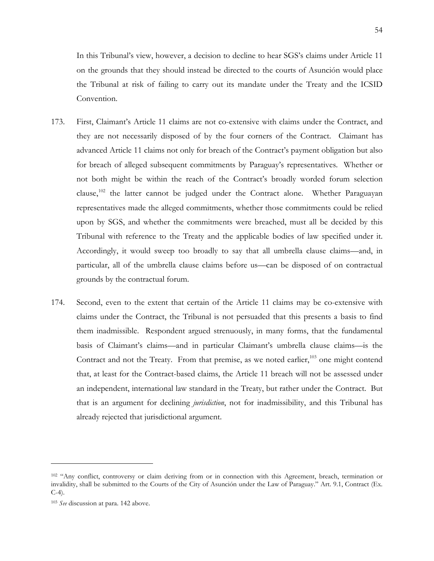In this Tribunal's view, however, a decision to decline to hear SGS's claims under Article 11 on the grounds that they should instead be directed to the courts of Asunción would place the Tribunal at risk of failing to carry out its mandate under the Treaty and the ICSID Convention.

- 173. First, Claimant's Article 11 claims are not co-extensive with claims under the Contract, and they are not necessarily disposed of by the four corners of the Contract. Claimant has advanced Article 11 claims not only for breach of the Contract's payment obligation but also for breach of alleged subsequent commitments by Paraguay's representatives. Whether or not both might be within the reach of the Contract's broadly worded forum selection clause,<sup>[102](#page-56-0)</sup> the latter cannot be judged under the Contract alone. Whether Paraguayan representatives made the alleged commitments, whether those commitments could be relied upon by SGS, and whether the commitments were breached, must all be decided by this Tribunal with reference to the Treaty and the applicable bodies of law specified under it. Accordingly, it would sweep too broadly to say that all umbrella clause claims—and, in particular, all of the umbrella clause claims before us—can be disposed of on contractual grounds by the contractual forum.
- 174. Second, even to the extent that certain of the Article 11 claims may be co-extensive with claims under the Contract, the Tribunal is not persuaded that this presents a basis to find them inadmissible. Respondent argued strenuously, in many forms, that the fundamental basis of Claimant's claims—and in particular Claimant's umbrella clause claims—is the Contract and not the Treaty. From that premise, as we noted earlier,<sup>[103](#page-56-1)</sup> one might contend that, at least for the Contract-based claims, the Article 11 breach will not be assessed under an independent, international law standard in the Treaty, but rather under the Contract. But that is an argument for declining *jurisdiction*, not for inadmissibility, and this Tribunal has already rejected that jurisdictional argument.

<span id="page-56-0"></span><sup>&</sup>lt;sup>102</sup> "Any conflict, controversy or claim deriving from or in connection with this Agreement, breach, termination or invalidity, shall be submitted to the Courts of the City of Asunción under the Law of Paraguay." Art. 9.1, Contract (Ex.  $C-4$ ).

<span id="page-56-1"></span><sup>103</sup> *See* discussion at para. [142](#page-46-2) above.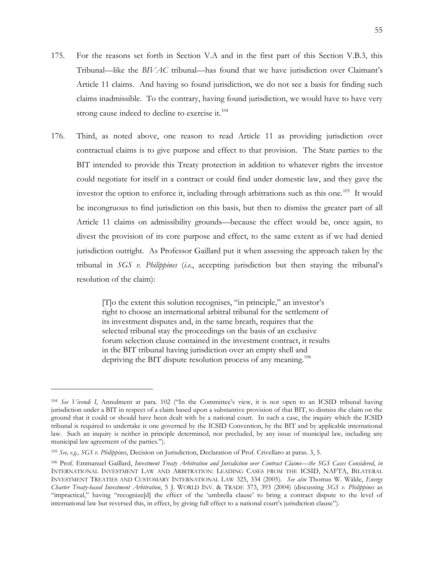- 175. For the reasons set forth in Section [V.A](#page-41-1) and in the first part of this Section [V.B.3,](#page-52-0) this Tribunal—like the *BIVAC* tribunal—has found that we have jurisdiction over Claimant's Article 11 claims. And having so found jurisdiction, we do not see a basis for finding such claims inadmissible. To the contrary, having found jurisdiction, we would have to have very strong cause indeed to decline to exercise it.<sup>[104](#page-57-0)</sup>
- 176. Third, as noted above, one reason to read Article 11 as providing jurisdiction over contractual claims is to give purpose and effect to that provision. The State parties to the BIT intended to provide this Treaty protection in addition to whatever rights the investor could negotiate for itself in a contract or could find under domestic law, and they gave the investor the option to enforce it, including through arbitrations such as this one.<sup>105</sup> It would be incongruous to find jurisdiction on this basis, but then to dismiss the greater part of all Article 11 claims on admissibility grounds—because the effect would be, once again, to divest the provision of its core purpose and effect, to the same extent as if we had denied jurisdiction outright. As Professor Gaillard put it when assessing the approach taken by the tribunal in *SGS v. Philippines* (*i.e.*, accepting jurisdiction but then staying the tribunal's resolution of the claim):

[T]o the extent this solution recognises, "in principle," an investor's right to choose an international arbitral tribunal for the settlement of its investment disputes and, in the same breath, requires that the selected tribunal stay the proceedings on the basis of an exclusive forum selection clause contained in the investment contract, it results in the BIT tribunal having jurisdiction over an empty shell and depriving the BIT dispute resolution process of any meaning.<sup>[106](#page-57-2)</sup>

<span id="page-57-0"></span><sup>104</sup> *See Vivendi I*, Annulment at para. 102 ("In the Committee's view, it is not open to an ICSID tribunal having jurisdiction under a BIT in respect of a claim based upon a substantive provision of that BIT, to dismiss the claim on the ground that it could or should have been dealt with by a national court. In such a case, the inquiry which the ICSID tribunal is required to undertake is one governed by the ICSID Convention, by the BIT and by applicable international law. Such an inquiry is neither in principle determined, nor precluded, by any issue of municipal law, including any municipal law agreement of the parties.").

<span id="page-57-1"></span><sup>105</sup> *See, e.g., SGS v. Philippines*, Decision on Jurisdiction, Declaration of Prof. Crivellaro at paras. 3, 5.

<span id="page-57-2"></span><sup>106</sup> Prof. Emmanuel Gaillard, *Investment Treaty Arbitration and Jurisdiction over Contract Claims—the SGS Cases Considered*, *in* INTERNATIONAL INVESTMENT LAW AND ARBITRATION: LEADING CASES FROM THE ICSID, NAFTA, BILATERAL INVESTMENT TREATIES AND CUSTOMARY INTERNATIONAL LAW 325, 334 (2005). *See also* Thomas W. Wälde, *Energy Charter Treaty-based Investment Arbitration*, 5 J. WORLD INV. & TRADE 373, 393 (2004) (discussing *SGS v. Philippines* as "impractical," having "recognize[d] the effect of the 'umbrella clause' to bring a contract dispute to the level of international law but reversed this, in effect, by giving full effect to a national court's jurisdiction clause").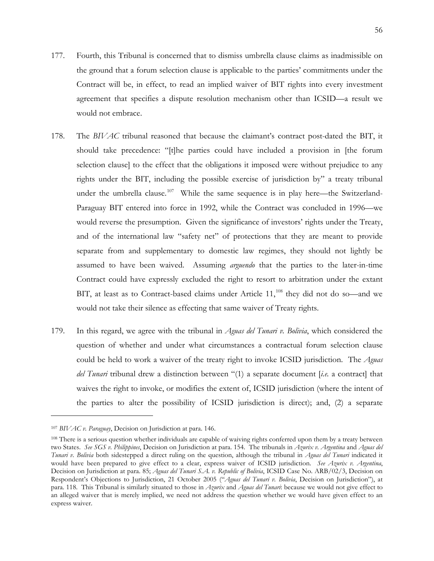- 177. Fourth, this Tribunal is concerned that to dismiss umbrella clause claims as inadmissible on the ground that a forum selection clause is applicable to the parties' commitments under the Contract will be, in effect, to read an implied waiver of BIT rights into every investment agreement that specifies a dispute resolution mechanism other than ICSID—a result we would not embrace.
- 178. The *BIVAC* tribunal reasoned that because the claimant's contract post-dated the BIT, it should take precedence: "[t]he parties could have included a provision in [the forum selection clause] to the effect that the obligations it imposed were without prejudice to any rights under the BIT, including the possible exercise of jurisdiction by" a treaty tribunal under the umbrella clause.<sup>[107](#page-58-0)</sup> While the same sequence is in play here—the Switzerland-Paraguay BIT entered into force in 1992, while the Contract was concluded in 1996—we would reverse the presumption. Given the significance of investors' rights under the Treaty, and of the international law "safety net" of protections that they are meant to provide separate from and supplementary to domestic law regimes, they should not lightly be assumed to have been waived. Assuming *arguendo* that the parties to the later-in-time Contract could have expressly excluded the right to resort to arbitration under the extant BIT, at least as to Contract-based claims under Article  $11,^{108}$  $11,^{108}$  $11,^{108}$  they did not do so—and we would not take their silence as effecting that same waiver of Treaty rights.
- 179. In this regard, we agree with the tribunal in *Aguas del Tunari v. Bolivia*, which considered the question of whether and under what circumstances a contractual forum selection clause could be held to work a waiver of the treaty right to invoke ICSID jurisdiction. The *Aguas del Tunari* tribunal drew a distinction between "(1) a separate document [*i.e.* a contract] that waives the right to invoke, or modifies the extent of, ICSID jurisdiction (where the intent of the parties to alter the possibility of ICSID jurisdiction is direct); and, (2) a separate

<span id="page-58-0"></span><sup>107</sup> *BIVAC v. Paraguay*, Decision on Jurisdiction at para. 146.

<span id="page-58-1"></span><sup>&</sup>lt;sup>108</sup> There is a serious question whether individuals are capable of waiving rights conferred upon them by a treaty between two States. *See SGS v. Philippines*, Decision on Jurisdiction at para. 154. The tribunals in *Azurix v. Argentina* and *Aguas del Tunari v. Bolivia* both sidestepped a direct ruling on the question, although the tribunal in *Aguas del Tunari* indicated it would have been prepared to give effect to a clear, express waiver of ICSID jurisdiction. *See Azurix v. Argentina*, Decision on Jurisdiction at para. 85; *Aguas del Tunari S.A. v. Republic of Bolivia*, ICSID Case No. ARB/02/3, Decision on Respondent's Objections to Jurisdiction, 21 October 2005 ("*Aguas del Tunari v. Bolivia*, Decision on Jurisdiction"), at para. 118. This Tribunal is similarly situated to those in *Azurix* and *Aguas del Tunari*: because we would not give effect to an alleged waiver that is merely implied, we need not address the question whether we would have given effect to an express waiver.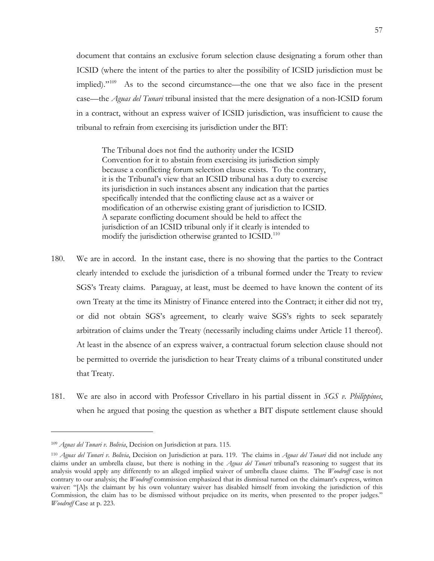document that contains an exclusive forum selection clause designating a forum other than ICSID (where the intent of the parties to alter the possibility of ICSID jurisdiction must be implied)."<sup>[109](#page-59-0)</sup> As to the second circumstance—the one that we also face in the present case—the *Aguas del Tunari* tribunal insisted that the mere designation of a non-ICSID forum in a contract, without an express waiver of ICSID jurisdiction, was insufficient to cause the tribunal to refrain from exercising its jurisdiction under the BIT:

The Tribunal does not find the authority under the ICSID Convention for it to abstain from exercising its jurisdiction simply because a conflicting forum selection clause exists. To the contrary, it is the Tribunal's view that an ICSID tribunal has a duty to exercise its jurisdiction in such instances absent any indication that the parties specifically intended that the conflicting clause act as a waiver or modification of an otherwise existing grant of jurisdiction to ICSID. A separate conflicting document should be held to affect the jurisdiction of an ICSID tribunal only if it clearly is intended to modify the jurisdiction otherwise granted to ICSID.<sup>[110](#page-59-1)</sup>

- 180. We are in accord. In the instant case, there is no showing that the parties to the Contract clearly intended to exclude the jurisdiction of a tribunal formed under the Treaty to review SGS's Treaty claims. Paraguay, at least, must be deemed to have known the content of its own Treaty at the time its Ministry of Finance entered into the Contract; it either did not try, or did not obtain SGS's agreement, to clearly waive SGS's rights to seek separately arbitration of claims under the Treaty (necessarily including claims under Article 11 thereof). At least in the absence of an express waiver, a contractual forum selection clause should not be permitted to override the jurisdiction to hear Treaty claims of a tribunal constituted under that Treaty.
- 181. We are also in accord with Professor Crivellaro in his partial dissent in *SGS v. Philippines*, when he argued that posing the question as whether a BIT dispute settlement clause should

<span id="page-59-0"></span><sup>109</sup> *Aguas del Tunari v. Bolivia*, Decision on Jurisdiction at para. 115.

<span id="page-59-1"></span><sup>110</sup> *Aguas del Tunari v. Bolivia*, Decision on Jurisdiction at para. 119. The claims in *Aguas del Tunari* did not include any claims under an umbrella clause, but there is nothing in the *Aguas del Tunari* tribunal's reasoning to suggest that its analysis would apply any differently to an alleged implied waiver of umbrella clause claims. The *Woodruff* case is not contrary to our analysis; the *Woodruff* commission emphasized that its dismissal turned on the claimant's express, written waiver: "[A]s the claimant by his own voluntary waiver has disabled himself from invoking the jurisdiction of this Commission, the claim has to be dismissed without prejudice on its merits, when presented to the proper judges." *Woodruff* Case at p. 223.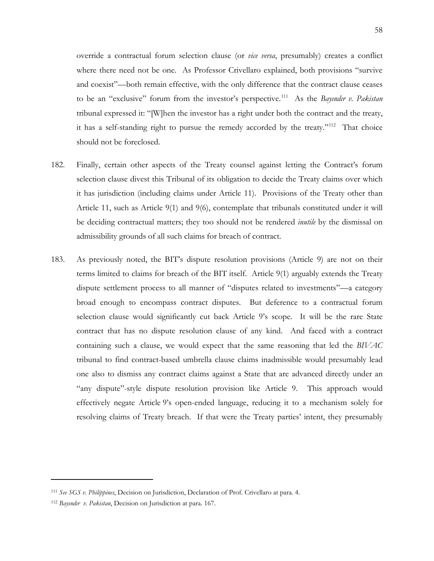override a contractual forum selection clause (or *vice versa*, presumably) creates a conflict where there need not be one. As Professor Crivellaro explained, both provisions "survive and coexist"—both remain effective, with the only difference that the contract clause ceases to be an "exclusive" forum from the investor's perspective.<sup>111</sup> As the *Bayindir v. Pakistan* tribunal expressed it: "[W]hen the investor has a right under both the contract and the treaty, it has a self-standing right to pursue the remedy accorded by the treaty."<sup>112</sup> That choice should not be foreclosed.

- 182. Finally, certain other aspects of the Treaty counsel against letting the Contract's forum selection clause divest this Tribunal of its obligation to decide the Treaty claims over which it has jurisdiction (including claims under Article 11). Provisions of the Treaty other than Article 11, such as Article 9(1) and 9(6), contemplate that tribunals constituted under it will be deciding contractual matters; they too should not be rendered *inutile* by the dismissal on admissibility grounds of all such claims for breach of contract.
- 183. As previously noted, the BIT's dispute resolution provisions (Article 9) are not on their terms limited to claims for breach of the BIT itself. Article 9(1) arguably extends the Treaty dispute settlement process to all manner of "disputes related to investments"—a category broad enough to encompass contract disputes. But deference to a contractual forum selection clause would significantly cut back Article 9's scope. It will be the rare State contract that has no dispute resolution clause of any kind. And faced with a contract containing such a clause, we would expect that the same reasoning that led the *BIVAC* tribunal to find contract-based umbrella clause claims inadmissible would presumably lead one also to dismiss any contract claims against a State that are advanced directly under an "any dispute"-style dispute resolution provision like Article 9. This approach would effectively negate Article 9's open-ended language, reducing it to a mechanism solely for resolving claims of Treaty breach. If that were the Treaty parties' intent, they presumably

<span id="page-60-0"></span><sup>111</sup> *See SGS v. Philippines*, Decision on Jurisdiction, Declaration of Prof. Crivellaro at para. 4.

<span id="page-60-1"></span><sup>112</sup> *Bayındır v. Pakistan*, Decision on Jurisdiction at para. 167.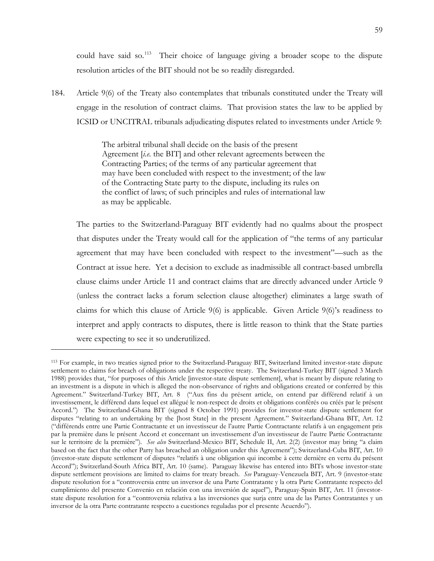could have said so.<sup>113</sup> Their choice of language giving a broader scope to the dispute resolution articles of the BIT should not be so readily disregarded.

184. Article 9(6) of the Treaty also contemplates that tribunals constituted under the Treaty will engage in the resolution of contract claims. That provision states the law to be applied by ICSID or UNCITRAL tribunals adjudicating disputes related to investments under Article 9:

> The arbitral tribunal shall decide on the basis of the present Agreement [*i.e.* the BIT] and other relevant agreements between the Contracting Parties; of the terms of any particular agreement that may have been concluded with respect to the investment; of the law of the Contracting State party to the dispute, including its rules on the conflict of laws; of such principles and rules of international law as may be applicable.

The parties to the Switzerland-Paraguay BIT evidently had no qualms about the prospect that disputes under the Treaty would call for the application of "the terms of any particular agreement that may have been concluded with respect to the investment"—such as the Contract at issue here. Yet a decision to exclude as inadmissible all contract-based umbrella clause claims under Article 11 and contract claims that are directly advanced under Article 9 (unless the contract lacks a forum selection clause altogether) eliminates a large swath of claims for which this clause of Article 9(6) is applicable. Given Article 9(6)'s readiness to interpret and apply contracts to disputes, there is little reason to think that the State parties were expecting to see it so underutilized.

<span id="page-61-0"></span><sup>113</sup> For example, in two treaties signed prior to the Switzerland-Paraguay BIT, Switzerland limited investor-state dispute settlement to claims for breach of obligations under the respective treaty. The Switzerland-Turkey BIT (signed 3 March 1988) provides that, "for purposes of this Article [investor-state dispute settlement], what is meant by dispute relating to an investment is a dispute in which is alleged the non-observance of rights and obligations created or conferred by this Agreement." Switzerland-Turkey BIT, Art. 8 ("Aux fins du présent article, on entend par différend relatif à un investissement, le différend dans lequel est allégué le non-respect de droits et obligations conférés ou créés par le présent Accord.") The Switzerland-Ghana BIT (signed 8 October 1991) provides for investor-state dispute settlement for disputes "relating to an undertaking by the [host State] in the present Agreement." Switzerland-Ghana BIT, Art. 12 ("différends entre une Partie Contractante et un investisseur de l'autre Partie Contractante relatifs à un engagement pris par la première dans le présent Accord et concernant un investissement d'un investisseur de l'autre Partie Contractante sur le territoire de la première"). *See also* Switzerland-Mexico BIT, Schedule II, Art. 2(2) (investor may bring "a claim based on the fact that the other Party has breached an obligation under this Agreement"); Switzerland-Cuba BIT, Art. 10 (investor-state dispute settlement of disputes "relatifs à une obligation qui incombe à cette dernière en vertu du présent Accord"); Switzerland-South Africa BIT, Art. 10 (same). Paraguay likewise has entered into BITs whose investor-state dispute settlement provisions are limited to claims for treaty breach. *See* Paraguay-Venezuela BIT, Art. 9 (investor-state dispute resolution for a "controversia entre un inversor de una Parte Contratante y la otra Parte Contratante respecto del cumplimiento del presente Convenio en relación con una inversión de aquel"), Paraguay-Spain BIT, Art. 11 (investorstate dispute resolution for a "controversia relativa a las inversiones que surja entre una de las Partes Contratantes y un inversor de la otra Parte contratante respecto a cuestiones reguladas por el presente Acuerdo").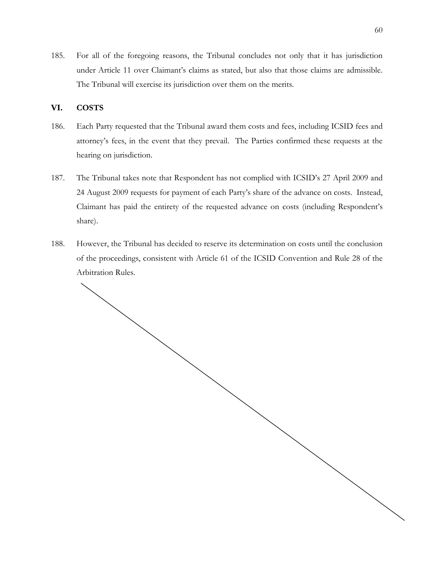185. For all of the foregoing reasons, the Tribunal concludes not only that it has jurisdiction under Article 11 over Claimant's claims as stated, but also that those claims are admissible. The Tribunal will exercise its jurisdiction over them on the merits.

# <span id="page-62-0"></span>**VI. COSTS**

- 186. Each Party requested that the Tribunal award them costs and fees, including ICSID fees and attorney's fees, in the event that they prevail. The Parties confirmed these requests at the hearing on jurisdiction.
- 187. The Tribunal takes note that Respondent has not complied with ICSID's 27 April 2009 and 24 August 2009 requests for payment of each Party's share of the advance on costs. Instead, Claimant has paid the entirety of the requested advance on costs (including Respondent's share).
- 188. However, the Tribunal has decided to reserve its determination on costs until the conclusion of the proceedings, consistent with Article 61 of the ICSID Convention and Rule 28 of the Arbitration Rules.